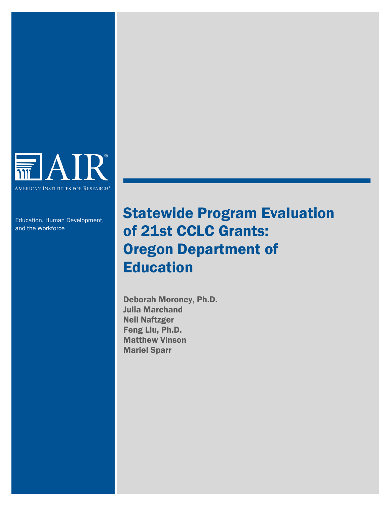

Education, Human Development, and the Workforce

# Statewide Program Evaluation of 21st CCLC Grants: Oregon Department of Education

Deborah Moroney, Ph.D. Julia Marchand Neil Naftzger Feng Liu, Ph.D. Matthew Vinson Mariel Sparr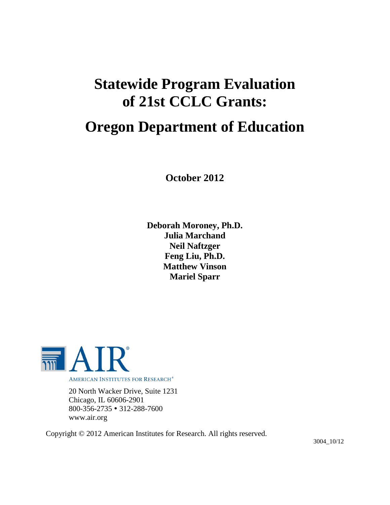# **Statewide Program Evaluation of 21st CCLC Grants:**

# **Oregon Department of Education**

**October 2012**

**Deborah Moroney, Ph.D. Julia Marchand Neil Naftzger Feng Liu, Ph.D. Matthew Vinson Mariel Sparr**



20 North Wacker Drive, Suite 1231 Chicago, IL 60606-2901 800-356-2735 312-288-7600 www.air.org

Copyright © 2012 American Institutes for Research. All rights reserved.

3004\_10/12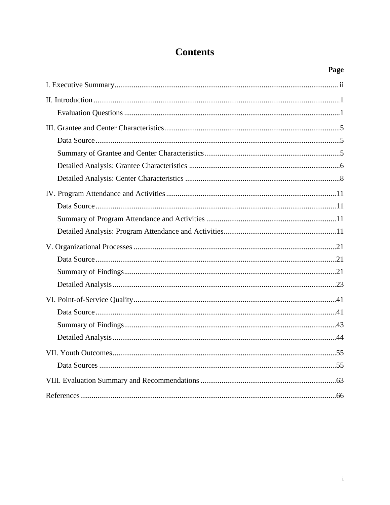# **Contents**

| Page |
|------|
|      |
|      |
|      |
|      |
|      |
|      |
|      |
|      |
|      |
|      |
|      |
|      |
|      |
|      |
|      |
|      |
|      |
|      |
|      |
|      |
|      |
|      |
|      |
|      |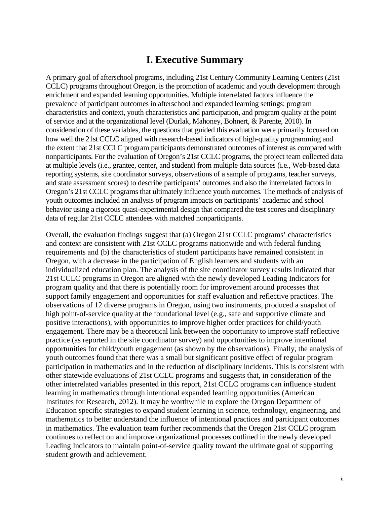## **I. Executive Summary**

<span id="page-3-0"></span>A primary goal of afterschool programs, including 21st Century Community Learning Centers (21st CCLC) programs throughout Oregon, is the promotion of academic and youth development through enrichment and expanded learning opportunities. Multiple interrelated factors influence the prevalence of participant outcomes in afterschool and expanded learning settings: program characteristics and context, youth characteristics and participation, and program quality at the point of service and at the organizational level (Durlak, Mahoney, Bohnert, & Parente, 2010). In consideration of these variables, the questions that guided this evaluation were primarily focused on how well the 21st CCLC aligned with research-based indicators of high-quality programming and the extent that 21st CCLC program participants demonstrated outcomes of interest as compared with nonparticipants. For the evaluation of Oregon's 21st CCLC programs, the project team collected data at multiple levels (i.e., grantee, center, and student) from multiple data sources (i.e., Web-based data reporting systems, site coordinator surveys, observations of a sample of programs, teacher surveys, and state assessment scores) to describe participants' outcomes and also the interrelated factors in Oregon's 21st CCLC programs that ultimately influence youth outcomes. The methods of analysis of youth outcomes included an analysis of program impacts on participants' academic and school behavior using a rigorous quasi-experimental design that compared the test scores and disciplinary data of regular 21st CCLC attendees with matched nonparticipants.

Overall, the evaluation findings suggest that (a) Oregon 21st CCLC programs' characteristics and context are consistent with 21st CCLC programs nationwide and with federal funding requirements and (b) the characteristics of student participants have remained consistent in Oregon, with a decrease in the participation of English learners and students with an individualized education plan. The analysis of the site coordinator survey results indicated that 21st CCLC programs in Oregon are aligned with the newly developed Leading Indicators for program quality and that there is potentially room for improvement around processes that support family engagement and opportunities for staff evaluation and reflective practices. The observations of 12 diverse programs in Oregon, using two instruments, produced a snapshot of high point-of-service quality at the foundational level (e.g., safe and supportive climate and positive interactions), with opportunities to improve higher order practices for child/youth engagement. There may be a theoretical link between the opportunity to improve staff reflective practice (as reported in the site coordinator survey) and opportunities to improve intentional opportunities for child/youth engagement (as shown by the observations). Finally, the analysis of youth outcomes found that there was a small but significant positive effect of regular program participation in mathematics and in the reduction of disciplinary incidents. This is consistent with other statewide evaluations of 21st CCLC programs and suggests that, in consideration of the other interrelated variables presented in this report, 21st CCLC programs can influence student learning in mathematics through intentional expanded learning opportunities (American Institutes for Research, 2012). It may be worthwhile to explore the Oregon Department of Education specific strategies to expand student learning in science, technology, engineering, and mathematics to better understand the influence of intentional practices and participant outcomes in mathematics. The evaluation team further recommends that the Oregon 21st CCLC program continues to reflect on and improve organizational processes outlined in the newly developed Leading Indicators to maintain point-of-service quality toward the ultimate goal of supporting student growth and achievement.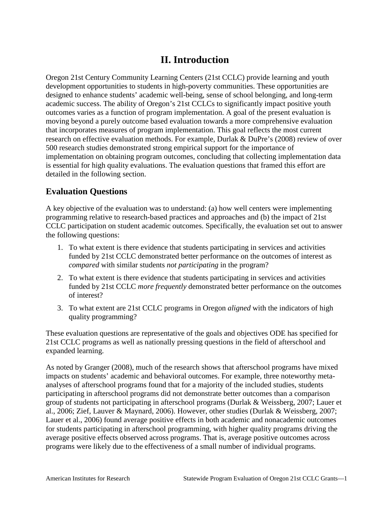## **II. Introduction**

<span id="page-4-0"></span>Oregon 21st Century Community Learning Centers (21st CCLC) provide learning and youth development opportunities to students in high-poverty communities. These opportunities are designed to enhance students' academic well-being, sense of school belonging, and long-term academic success. The ability of Oregon's 21st CCLCs to significantly impact positive youth outcomes varies as a function of program implementation. A goal of the present evaluation is moving beyond a purely outcome based evaluation towards a more comprehensive evaluation that incorporates measures of program implementation. This goal reflects the most current research on effective evaluation methods. For example, Durlak & DuPre's (2008) review of over 500 research studies demonstrated strong empirical support for the importance of implementation on obtaining program outcomes, concluding that collecting implementation data is essential for high quality evaluations. The evaluation questions that framed this effort are detailed in the following section.

## <span id="page-4-1"></span>**Evaluation Questions**

A key objective of the evaluation was to understand: (a) how well centers were implementing programming relative to research-based practices and approaches and (b) the impact of 21st CCLC participation on student academic outcomes. Specifically, the evaluation set out to answer the following questions:

- 1. To what extent is there evidence that students participating in services and activities funded by 21st CCLC demonstrated better performance on the outcomes of interest as *compared* with similar students *not participating* in the program?
- 2. To what extent is there evidence that students participating in services and activities funded by 21st CCLC *more frequently* demonstrated better performance on the outcomes of interest?
- 3. To what extent are 21st CCLC programs in Oregon *aligned* with the indicators of high quality programming?

These evaluation questions are representative of the goals and objectives ODE has specified for 21st CCLC programs as well as nationally pressing questions in the field of afterschool and expanded learning.

As noted by Granger (2008), much of the research shows that afterschool programs have mixed impacts on students' academic and behavioral outcomes. For example, three noteworthy metaanalyses of afterschool programs found that for a majority of the included studies, students participating in afterschool programs did not demonstrate better outcomes than a comparison group of students not participating in afterschool programs (Durlak & Weissberg, 2007; Lauer et al., 2006; Zief, Lauver & Maynard, 2006). However, other studies (Durlak & Weissberg, 2007; Lauer et al., 2006) found average positive effects in both academic and nonacademic outcomes for students participating in afterschool programming, with higher quality programs driving the average positive effects observed across programs. That is, average positive outcomes across programs were likely due to the effectiveness of a small number of individual programs.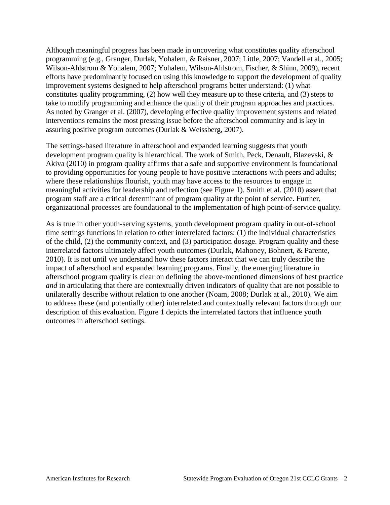Although meaningful progress has been made in uncovering what constitutes quality afterschool programming (e.g., Granger, Durlak, Yohalem, & Reisner, 2007; Little, 2007; Vandell et al., 2005; Wilson-Ahlstrom & Yohalem, 2007; Yohalem, Wilson-Ahlstrom, Fischer, & Shinn, 2009), recent efforts have predominantly focused on using this knowledge to support the development of quality improvement systems designed to help afterschool programs better understand: (1) what constitutes quality programming, (2) how well they measure up to these criteria, and (3) steps to take to modify programming and enhance the quality of their program approaches and practices. As noted by Granger et al. (2007), developing effective quality improvement systems and related interventions remains the most pressing issue before the afterschool community and is key in assuring positive program outcomes (Durlak & Weissberg, 2007).

The settings-based literature in afterschool and expanded learning suggests that youth development program quality is hierarchical. The work of Smith, Peck, Denault, Blazevski, & Akiva (2010) in program quality affirms that a safe and supportive environment is foundational to providing opportunities for young people to have positive interactions with peers and adults; where these relationships flourish, youth may have access to the resources to engage in meaningful activities for leadership and reflection (see Figure 1). Smith et al. (2010) assert that program staff are a critical determinant of program quality at the point of service. Further, organizational processes are foundational to the implementation of high point-of-service quality.

As is true in other youth-serving systems, youth development program quality in out-of-school time settings functions in relation to other interrelated factors: (1) the individual characteristics of the child, (2) the community context, and (3) participation dosage. Program quality and these interrelated factors ultimately affect youth outcomes (Durlak, Mahoney, Bohnert, & Parente, 2010). It is not until we understand how these factors interact that we can truly describe the impact of afterschool and expanded learning programs. Finally, the emerging literature in afterschool program quality is clear on defining the above-mentioned dimensions of best practice *and* in articulating that there are contextually driven indicators of quality that are not possible to unilaterally describe without relation to one another (Noam, 2008; Durlak at al., 2010). We aim to address these (and potentially other) interrelated and contextually relevant factors through our description of this evaluation. Figure 1 depicts the interrelated factors that influence youth outcomes in afterschool settings.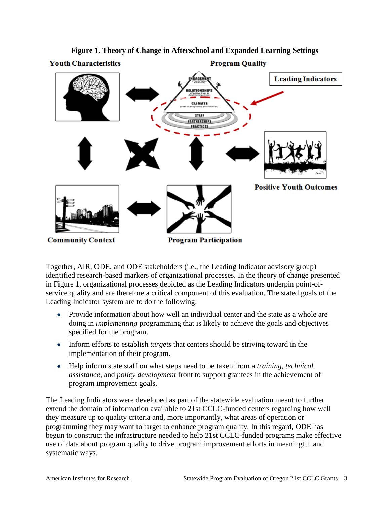

**Figure 1. Theory of Change in Afterschool and Expanded Learning Settings**

Together, AIR, ODE, and ODE stakeholders (i.e., the Leading Indicator advisory group) identified research-based markers of organizational processes. In the theory of change presented in Figure 1, organizational processes depicted as the Leading Indicators underpin point-ofservice quality and are therefore a critical component of this evaluation. The stated goals of the Leading Indicator system are to do the following:

- Provide information about how well an individual center and the state as a whole are doing in *implementing* programming that is likely to achieve the goals and objectives specified for the program.
- Inform efforts to establish *targets* that centers should be striving toward in the implementation of their program.
- Help inform state staff on what steps need to be taken from a *training*, *technical assistance*, and *policy development* front to support grantees in the achievement of program improvement goals.

The Leading Indicators were developed as part of the statewide evaluation meant to further extend the domain of information available to 21st CCLC-funded centers regarding how well they measure up to quality criteria and, more importantly, what areas of operation or programming they may want to target to enhance program quality. In this regard, ODE has begun to construct the infrastructure needed to help 21st CCLC-funded programs make effective use of data about program quality to drive program improvement efforts in meaningful and systematic ways.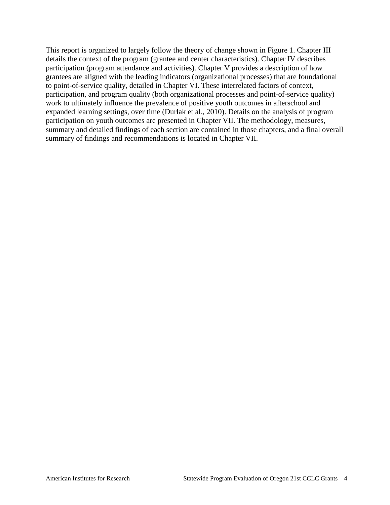This report is organized to largely follow the theory of change shown in Figure 1. Chapter III details the context of the program (grantee and center characteristics). Chapter IV describes participation (program attendance and activities). Chapter V provides a description of how grantees are aligned with the leading indicators (organizational processes) that are foundational to point-of-service quality, detailed in Chapter VI. These interrelated factors of context, participation, and program quality (both organizational processes and point-of-service quality) work to ultimately influence the prevalence of positive youth outcomes in afterschool and expanded learning settings, over time (Durlak et al., 2010). Details on the analysis of program participation on youth outcomes are presented in Chapter VII. The methodology, measures, summary and detailed findings of each section are contained in those chapters, and a final overall summary of findings and recommendations is located in Chapter VII.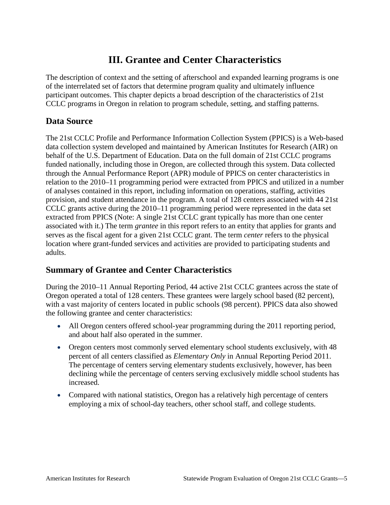## **III. Grantee and Center Characteristics**

<span id="page-8-0"></span>The description of context and the setting of afterschool and expanded learning programs is one of the interrelated set of factors that determine program quality and ultimately influence participant outcomes. This chapter depicts a broad description of the characteristics of 21st CCLC programs in Oregon in relation to program schedule, setting, and staffing patterns.

## <span id="page-8-1"></span>**Data Source**

The 21st CCLC Profile and Performance Information Collection System (PPICS) is a Web-based data collection system developed and maintained by American Institutes for Research (AIR) on behalf of the U.S. Department of Education. Data on the full domain of 21st CCLC programs funded nationally, including those in Oregon, are collected through this system. Data collected through the Annual Performance Report (APR) module of PPICS on center characteristics in relation to the 2010–11 programming period were extracted from PPICS and utilized in a number of analyses contained in this report, including information on operations, staffing, activities provision, and student attendance in the program. A total of 128 centers associated with 44 21st CCLC grants active during the 2010–11 programming period were represented in the data set extracted from PPICS (Note: A single 21st CCLC grant typically has more than one center associated with it.) The term *grantee* in this report refers to an entity that applies for grants and serves as the fiscal agent for a given 21st CCLC grant. The term *center* refers to the physical location where grant-funded services and activities are provided to participating students and adults.

## <span id="page-8-2"></span>**Summary of Grantee and Center Characteristics**

During the 2010–11 Annual Reporting Period, 44 active 21st CCLC grantees across the state of Oregon operated a total of 128 centers. These grantees were largely school based (82 percent), with a vast majority of centers located in public schools (98 percent). PPICS data also showed the following grantee and center characteristics:

- All Oregon centers offered school-year programming during the 2011 reporting period, and about half also operated in the summer.
- Oregon centers most commonly served elementary school students exclusively, with 48 percent of all centers classified as *Elementary Only* in Annual Reporting Period 2011. The percentage of centers serving elementary students exclusively, however, has been declining while the percentage of centers serving exclusively middle school students has increased.
- <span id="page-8-3"></span>• Compared with national statistics, Oregon has a relatively high percentage of centers employing a mix of school-day teachers, other school staff, and college students.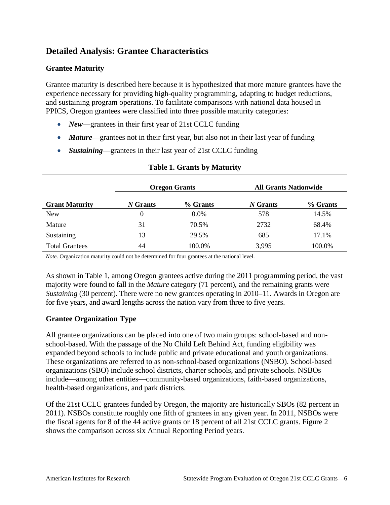## **Detailed Analysis: Grantee Characteristics**

### **Grantee Maturity**

Grantee maturity is described here because it is hypothesized that more mature grantees have the experience necessary for providing high-quality programming, adapting to budget reductions, and sustaining program operations. To facilitate comparisons with national data housed in PPICS, Oregon grantees were classified into three possible maturity categories:

- *New*—grantees in their first year of 21st CCLC funding
- *Mature*—grantees not in their first year, but also not in their last year of funding
- *Sustaining*—grantees in their last year of 21st CCLC funding

|                       | <b>Oregon Grants</b> |          | <b>All Grants Nationwide</b> |          |
|-----------------------|----------------------|----------|------------------------------|----------|
| <b>Grant Maturity</b> | N Grants             | % Grants | N Grants                     | % Grants |
| <b>New</b>            | $\theta$             | $0.0\%$  | 578                          | 14.5%    |
| Mature                | 31                   | 70.5%    | 2732                         | 68.4%    |
| Sustaining            | 13                   | 29.5%    | 685                          | 17.1%    |
| <b>Total Grantees</b> | 44                   | 100.0%   | 3,995                        | 100.0%   |

#### **Table 1. Grants by Maturity**

*Note.* Organization maturity could not be determined for four grantees at the national level.

As shown in Table 1, among Oregon grantees active during the 2011 programming period, the vast majority were found to fall in the *Mature* category (71 percent), and the remaining grants were *Sustaining (30 percent).* There were no new grantees operating in 2010–11. Awards in Oregon are for five years, and award lengths across the nation vary from three to five years.

## **Grantee Organization Type**

All grantee organizations can be placed into one of two main groups: school-based and nonschool-based. With the passage of the No Child Left Behind Act, funding eligibility was expanded beyond schools to include public and private educational and youth organizations. These organizations are referred to as non-school-based organizations (NSBO). School-based organizations (SBO) include school districts, charter schools, and private schools. NSBOs include—among other entities—community-based organizations, faith-based organizations, health-based organizations, and park districts.

Of the 21st CCLC grantees funded by Oregon, the majority are historically SBOs (82 percent in 2011). NSBOs constitute roughly one fifth of grantees in any given year. In 2011, NSBOs were the fiscal agents for 8 of the 44 active grants or 18 percent of all 21st CCLC grants. Figure 2 shows the comparison across six Annual Reporting Period years.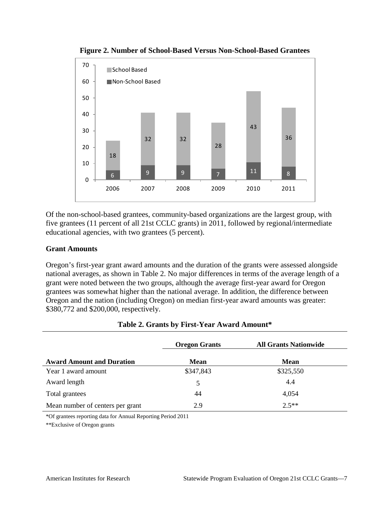

**Figure 2. Number of School-Based Versus Non-School-Based Grantees**

Of the non-school-based grantees, community-based organizations are the largest group, with five grantees (11 percent of all 21st CCLC grants) in 2011, followed by regional/intermediate educational agencies, with two grantees (5 percent).

#### **Grant Amounts**

Oregon's first-year grant award amounts and the duration of the grants were assessed alongside national averages, as shown in Table 2. No major differences in terms of the average length of a grant were noted between the two groups, although the average first-year award for Oregon grantees was somewhat higher than the national average. In addition, the difference between Oregon and the nation (including Oregon) on median first-year award amounts was greater: \$380,772 and \$200,000, respectively.

|                                  | <b>Oregon Grants</b> | <b>All Grants Nationwide</b> |
|----------------------------------|----------------------|------------------------------|
| <b>Award Amount and Duration</b> | <b>Mean</b>          | <b>Mean</b>                  |
| Year 1 award amount              | \$347,843            | \$325,550                    |
| Award length                     | 5                    | 4.4                          |
| Total grantees                   | 44                   | 4,054                        |
| Mean number of centers per grant | 2.9                  | $2.5**$                      |

#### **Table 2. Grants by First-Year Award Amount\***

\*Of grantees reporting data for Annual Reporting Period 2011

\*\*Exclusive of Oregon grants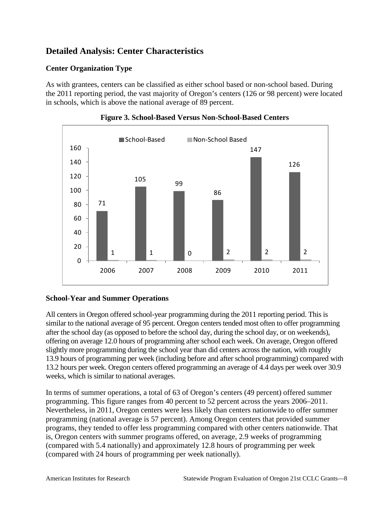## <span id="page-11-0"></span>**Detailed Analysis: Center Characteristics**

## **Center Organization Type**

As with grantees, centers can be classified as either school based or non-school based. During the 2011 reporting period, the vast majority of Oregon's centers (126 or 98 percent) were located in schools, which is above the national average of 89 percent.





## **School-Year and Summer Operations**

All centers in Oregon offered school-year programming during the 2011 reporting period. This is similar to the national average of 95 percent. Oregon centers tended most often to offer programming after the school day (as opposed to before the school day, during the school day, or on weekends), offering on average 12.0 hours of programming after school each week. On average, Oregon offered slightly more programming during the school year than did centers across the nation, with roughly 13.9 hours of programming per week (including before and after school programming) compared with 13.2 hours per week. Oregon centers offered programming an average of 4.4 days per week over 30.9 weeks, which is similar to national averages.

In terms of summer operations, a total of 63 of Oregon's centers (49 percent) offered summer programming. This figure ranges from 40 percent to 52 percent across the years 2006–2011. Nevertheless, in 2011, Oregon centers were less likely than centers nationwide to offer summer programming (national average is 57 percent). Among Oregon centers that provided summer programs, they tended to offer less programming compared with other centers nationwide. That is, Oregon centers with summer programs offered, on average, 2.9 weeks of programming (compared with 5.4 nationally) and approximately 12.8 hours of programming per week (compared with 24 hours of programming per week nationally).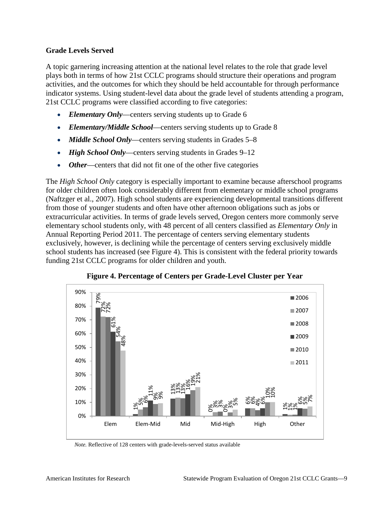#### **Grade Levels Served**

A topic garnering increasing attention at the national level relates to the role that grade level plays both in terms of how 21st CCLC programs should structure their operations and program activities, and the outcomes for which they should be held accountable for through performance indicator systems. Using student-level data about the grade level of students attending a program, 21st CCLC programs were classified according to five categories:

- *Elementary Only*—centers serving students up to Grade 6
- *Elementary/Middle School*—centers serving students up to Grade 8
- *Middle School Only*—centers serving students in Grades 5–8
- *High School Only*—centers serving students in Grades 9–12
- *Other*—centers that did not fit one of the other five categories

The *High School Only* category is especially important to examine because afterschool programs for older children often look considerably different from elementary or middle school programs (Naftzger et al., 2007). High school students are experiencing developmental transitions different from those of younger students and often have other afternoon obligations such as jobs or extracurricular activities. In terms of grade levels served, Oregon centers more commonly serve elementary school students only, with 48 percent of all centers classified as *Elementary Only* in Annual Reporting Period 2011. The percentage of centers serving elementary students exclusively, however, is declining while the percentage of centers serving exclusively middle school students has increased (see Figure 4). This is consistent with the federal priority towards funding 21st CCLC programs for older children and youth.



**Figure 4. Percentage of Centers per Grade-Level Cluster per Year**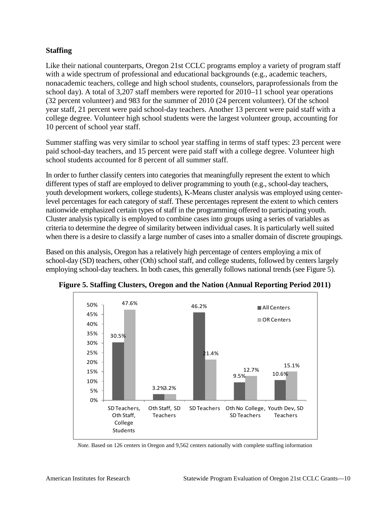## **Staffing**

Like their national counterparts, Oregon 21st CCLC programs employ a variety of program staff with a wide spectrum of professional and educational backgrounds (e.g., academic teachers, nonacademic teachers, college and high school students, counselors, paraprofessionals from the school day). A total of 3,207 staff members were reported for 2010–11 school year operations (32 percent volunteer) and 983 for the summer of 2010 (24 percent volunteer). Of the school year staff, 21 percent were paid school-day teachers. Another 13 percent were paid staff with a college degree. Volunteer high school students were the largest volunteer group, accounting for 10 percent of school year staff.

Summer staffing was very similar to school year staffing in terms of staff types: 23 percent were paid school-day teachers, and 15 percent were paid staff with a college degree. Volunteer high school students accounted for 8 percent of all summer staff.

In order to further classify centers into categories that meaningfully represent the extent to which different types of staff are employed to deliver programming to youth (e.g., school-day teachers, youth development workers, college students), K-Means cluster analysis was employed using centerlevel percentages for each category of staff. These percentages represent the extent to which centers nationwide emphasized certain types of staff in the programming offered to participating youth. Cluster analysis typically is employed to combine cases into groups using a series of variables as criteria to determine the degree of similarity between individual cases. It is particularly well suited when there is a desire to classify a large number of cases into a smaller domain of discrete groupings.

Based on this analysis, Oregon has a relatively high percentage of centers employing a mix of school-day (SD) teachers, other (Oth) school staff, and college students, followed by centers largely employing school-day teachers. In both cases, this generally follows national trends (see Figure 5).



**Figure 5. Staffing Clusters, Oregon and the Nation (Annual Reporting Period 2011)**

*Note.* Based on 126 centers in Oregon and 9,562 centers nationally with complete staffing information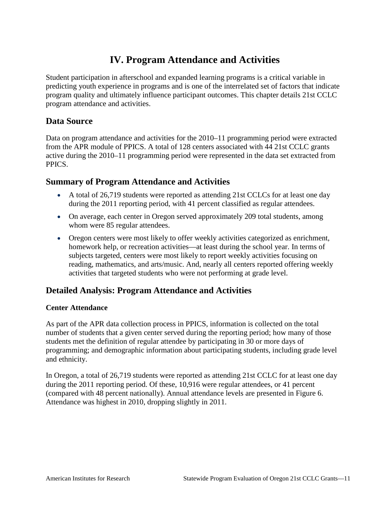## **IV. Program Attendance and Activities**

<span id="page-14-0"></span>Student participation in afterschool and expanded learning programs is a critical variable in predicting youth experience in programs and is one of the interrelated set of factors that indicate program quality and ultimately influence participant outcomes. This chapter details 21st CCLC program attendance and activities.

## <span id="page-14-1"></span>**Data Source**

Data on program attendance and activities for the 2010–11 programming period were extracted from the APR module of PPICS. A total of 128 centers associated with 44 21st CCLC grants active during the 2010–11 programming period were represented in the data set extracted from PPICS.

## <span id="page-14-2"></span>**Summary of Program Attendance and Activities**

- A total of 26,719 students were reported as attending 21st CCLCs for at least one day during the 2011 reporting period, with 41 percent classified as regular attendees.
- On average, each center in Oregon served approximately 209 total students, among whom were 85 regular attendees.
- Oregon centers were most likely to offer weekly activities categorized as enrichment, homework help, or recreation activities—at least during the school year. In terms of subjects targeted, centers were most likely to report weekly activities focusing on reading, mathematics, and arts/music. And, nearly all centers reported offering weekly activities that targeted students who were not performing at grade level.

## <span id="page-14-3"></span>**Detailed Analysis: Program Attendance and Activities**

## **Center Attendance**

As part of the APR data collection process in PPICS, information is collected on the total number of students that a given center served during the reporting period; how many of those students met the definition of regular attendee by participating in 30 or more days of programming; and demographic information about participating students, including grade level and ethnicity.

In Oregon, a total of 26,719 students were reported as attending 21st CCLC for at least one day during the 2011 reporting period. Of these, 10,916 were regular attendees, or 41 percent (compared with 48 percent nationally). Annual attendance levels are presented in Figure 6. Attendance was highest in 2010, dropping slightly in 2011.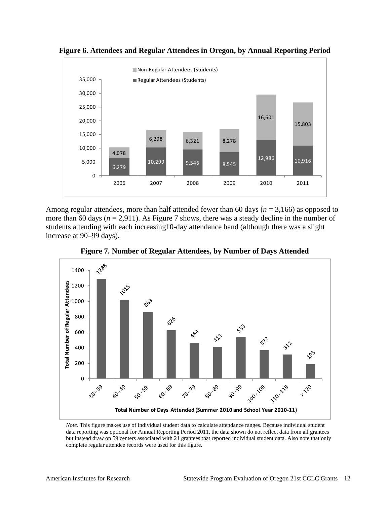

**Figure 6. Attendees and Regular Attendees in Oregon, by Annual Reporting Period**

Among regular attendees, more than half attended fewer than 60 days (*n* = 3,166) as opposed to more than 60 days ( $n = 2.911$ ). As Figure 7 shows, there was a steady decline in the number of students attending with each increasing10-day attendance band (although there was a slight increase at 90–99 days).



**Figure 7. Number of Regular Attendees, by Number of Days Attended**

*Note.* This figure makes use of individual student data to calculate attendance ranges. Because individual student data reporting was optional for Annual Reporting Period 2011, the data shown do not reflect data from all grantees but instead draw on 59 centers associated with 21 grantees that reported individual student data. Also note that only complete regular attendee records were used for this figure.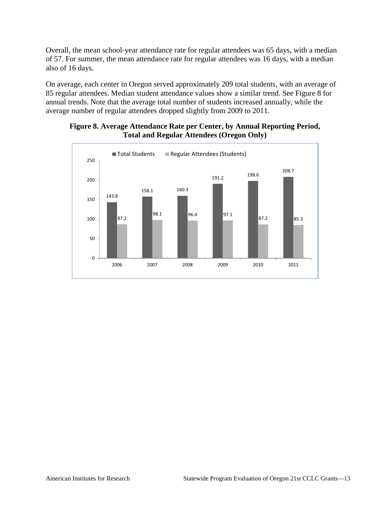Overall, the mean school-year attendance rate for regular attendees was 65 days, with a median of 57. For summer, the mean attendance rate for regular attendees was 16 days, with a median also of 16 days.

On average, each center in Oregon served approximately 209 total students, with an average of 85 regular attendees. Median student attendance values show a similar trend. See Figure 8 for annual trends. Note that the average total number of students increased annually, while the average number of regular attendees dropped slightly from 2009 to 2011.



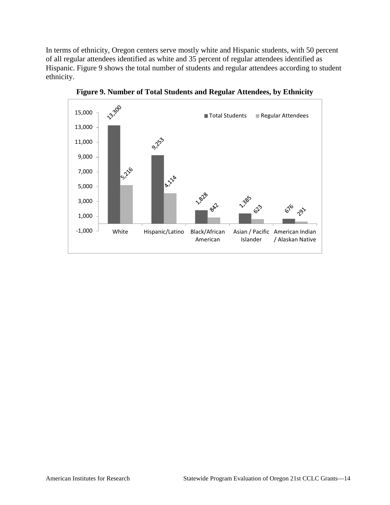In terms of ethnicity, Oregon centers serve mostly white and Hispanic students, with 50 percent of all regular attendees identified as white and 35 percent of regular attendees identified as Hispanic. Figure 9 shows the total number of students and regular attendees according to student ethnicity.



**Figure 9. Number of Total Students and Regular Attendees, by Ethnicity**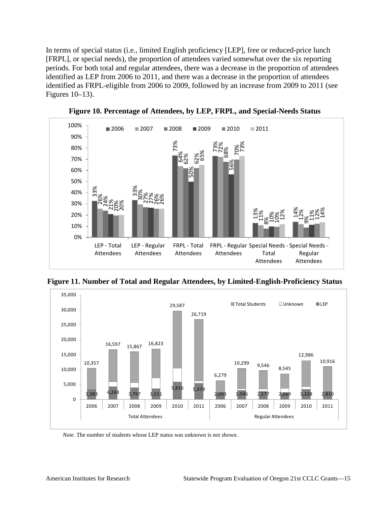In terms of special status (i.e., limited English proficiency [LEP], free or reduced-price lunch [FRPL], or special needs), the proportion of attendees varied somewhat over the six reporting periods. For both total and regular attendees, there was a decrease in the proportion of attendees identified as LEP from 2006 to 2011, and there was a decrease in the proportion of attendees identified as FRPL-eligible from 2006 to 2009, followed by an increase from 2009 to 2011 (see Figures 10–13).



**Figure 10. Percentage of Attendees, by LEP, FRPL, and Special-Needs Status**

**Figure 11. Number of Total and Regular Attendees, by Limited-English-Proficiency Status**

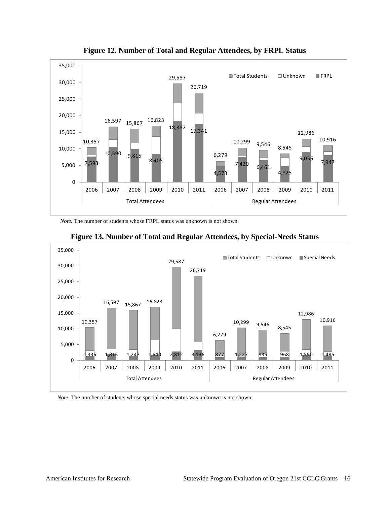



*Note.* The number of students whose FRPL status was unknown is not shown.





*Note.* The number of students whose special needs status was unknown is not shown.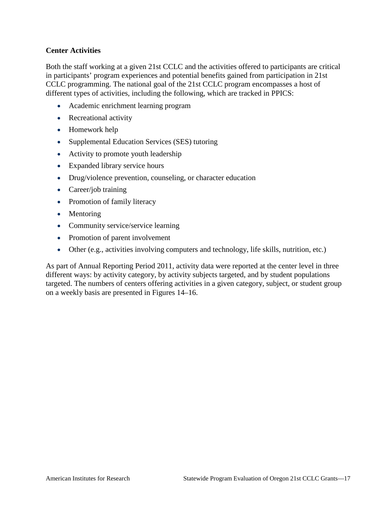### **Center Activities**

Both the staff working at a given 21st CCLC and the activities offered to participants are critical in participants' program experiences and potential benefits gained from participation in 21st CCLC programming. The national goal of the 21st CCLC program encompasses a host of different types of activities, including the following, which are tracked in PPICS:

- Academic enrichment learning program
- Recreational activity
- Homework help
- Supplemental Education Services (SES) tutoring
- Activity to promote youth leadership
- Expanded library service hours
- Drug/violence prevention, counseling, or character education
- Career/job training
- Promotion of family literacy
- Mentoring
- Community service/service learning
- Promotion of parent involvement
- Other (e.g., activities involving computers and technology, life skills, nutrition, etc.)

As part of Annual Reporting Period 2011, activity data were reported at the center level in three different ways: by activity category, by activity subjects targeted, and by student populations targeted. The numbers of centers offering activities in a given category, subject, or student group on a weekly basis are presented in Figures 14–16.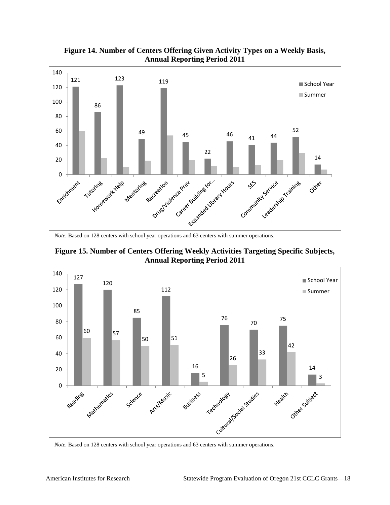

**Figure 14. Number of Centers Offering Given Activity Types on a Weekly Basis, Annual Reporting Period 2011**

*Note.* Based on 128 centers with school year operations and 63 centers with summer operations.

**Figure 15. Number of Centers Offering Weekly Activities Targeting Specific Subjects, Annual Reporting Period 2011**



*Note.* Based on 128 centers with school year operations and 63 centers with summer operations.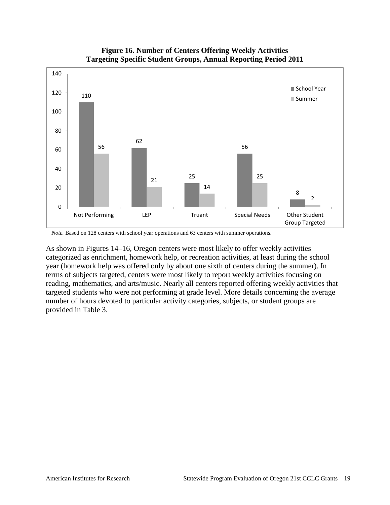

#### **Figure 16. Number of Centers Offering Weekly Activities Targeting Specific Student Groups, Annual Reporting Period 2011**

*Note.* Based on 128 centers with school year operations and 63 centers with summer operations.

As shown in Figures 14–16, Oregon centers were most likely to offer weekly activities categorized as enrichment, homework help, or recreation activities, at least during the school year (homework help was offered only by about one sixth of centers during the summer). In terms of subjects targeted, centers were most likely to report weekly activities focusing on reading, mathematics, and arts/music. Nearly all centers reported offering weekly activities that targeted students who were not performing at grade level. More details concerning the average number of hours devoted to particular activity categories, subjects, or student groups are provided in Table 3.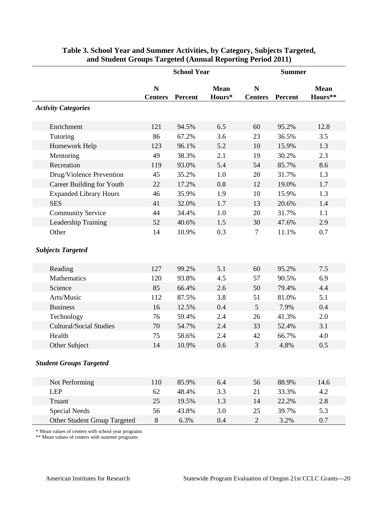|                                | <b>School Year</b>            |                | <b>Summer</b>         |                     |                |                        |
|--------------------------------|-------------------------------|----------------|-----------------------|---------------------|----------------|------------------------|
|                                | $\mathbf N$<br><b>Centers</b> | <b>Percent</b> | <b>Mean</b><br>Hours* | N<br><b>Centers</b> | <b>Percent</b> | <b>Mean</b><br>Hours** |
| <b>Activity Categories</b>     |                               |                |                       |                     |                |                        |
| Enrichment                     | 121                           | 94.5%          | 6.5                   | 60                  | 95.2%          | 12.8                   |
| Tutoring                       | 86                            | 67.2%          | 3.6                   | 23                  | 36.5%          | 3.5                    |
| Homework Help                  | 123                           | 96.1%          | 5.2                   | 10                  | 15.9%          | 1.3                    |
| Mentoring                      | 49                            | 38.3%          | 2.1                   | 19                  | 30.2%          | 2.3                    |
| Recreation                     | 119                           | 93.0%          | 5.4                   | 54                  | 85.7%          | 8.6                    |
| Drug/Violence Prevention       | 45                            | 35.2%          | 1.0                   | 20                  | 31.7%          | 1.3                    |
| Career Building for Youth      | 22                            | 17.2%          | 0.8                   | 12                  | 19.0%          | 1.7                    |
| <b>Expanded Library Hours</b>  | 46                            | 35.9%          | 1.9                   | 10                  | 15.9%          | 1.3                    |
| <b>SES</b>                     | 41                            | 32.0%          | 1.7                   | 13                  | 20.6%          | 1.4                    |
| <b>Community Service</b>       | 44                            | 34.4%          | 1.0                   | 20                  | 31.7%          | 1.1                    |
| Leadership Training            | 52                            | 40.6%          | 1.5                   | 30                  | 47.6%          | 2.9                    |
| Other                          | 14                            | 10.9%          | 0.3                   | $\tau$              | 11.1%          | 0.7                    |
| <b>Subjects Targeted</b>       |                               |                |                       |                     |                |                        |
| Reading                        | 127                           | 99.2%          | 5.1                   | 60                  | 95.2%          | 7.5                    |
| Mathematics                    | 120                           | 93.8%          | 4.5                   | 57                  | 90.5%          | 6.9                    |
| Science                        | 85                            | 66.4%          | 2.6                   | 50                  | 79.4%          | 4.4                    |
| Arts/Music                     | 112                           | 87.5%          | 3.8                   | 51                  | 81.0%          | 5.1                    |
| <b>Business</b>                | 16                            | 12.5%          | 0.4                   | 5                   | 7.9%           | 0.4                    |
| Technology                     | 76                            | 59.4%          | 2.4                   | 26                  | 41.3%          | 2.0                    |
| <b>Cultural/Social Studies</b> | 70                            | 54.7%          | 2.4                   | 33                  | 52.4%          | 3.1                    |
| Health                         | 75                            | 58.6%          | 2.4                   | 42                  | 66.7%          | 4.0                    |
| Other Subject                  | 14                            | 10.9%          | 0.6                   | 3                   | 4.8%           | 0.5                    |
| <b>Student Groups Targeted</b> |                               |                |                       |                     |                |                        |
| Not Performing                 | 110                           | 85.9%          | 6.4                   | 56                  | 88.9%          | 14.6                   |
| <b>LEP</b>                     | 62                            | 48.4%          | 3.3                   | 21                  | 33.3%          | 4.2                    |
| Truant                         | 25                            | 19.5%          | 1.3                   | 14                  | 22.2%          | 2.8                    |
| <b>Special Needs</b>           | 56                            | 43.8%          | 3.0                   | 25                  | 39.7%          | 5.3                    |
| Other Student Group Targeted   | $8\,$                         | 6.3%           | 0.4                   | $\overline{2}$      | 3.2%           | 0.7                    |

### **Table 3. School Year and Summer Activities, by Category, Subjects Targeted, and Student Groups Targeted (Annual Reporting Period 2011)**

\* Mean values of centers with school year programs

\*\* Mean values of centers with summer programs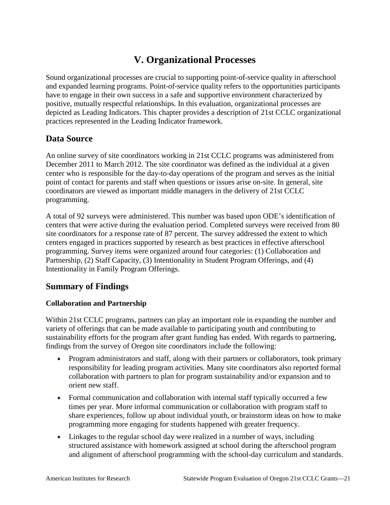# **V. Organizational Processes**

<span id="page-24-0"></span>Sound organizational processes are crucial to supporting point-of-service quality in afterschool and expanded learning programs. Point-of-service quality refers to the opportunities participants have to engage in their own success in a safe and supportive environment characterized by positive, mutually respectful relationships. In this evaluation, organizational processes are depicted as Leading Indicators. This chapter provides a description of 21st CCLC organizational practices represented in the Leading Indicator framework.

## <span id="page-24-1"></span>**Data Source**

An online survey of site coordinators working in 21st CCLC programs was administered from December 2011 to March 2012. The site coordinator was defined as the individual at a given center who is responsible for the day-to-day operations of the program and serves as the initial point of contact for parents and staff when questions or issues arise on-site. In general, site coordinators are viewed as important middle managers in the delivery of 21st CCLC programming.

A total of 92 surveys were administered. This number was based upon ODE's identification of centers that were active during the evaluation period. Completed surveys were received from 80 site coordinators for a response rate of 87 percent. The survey addressed the extent to which centers engaged in practices supported by research as best practices in effective afterschool programming. Survey items were organized around four categories: (1) Collaboration and Partnership, (2) Staff Capacity, (3) Intentionality in Student Program Offerings, and (4) Intentionality in Family Program Offerings.

## <span id="page-24-2"></span>**Summary of Findings**

## **Collaboration and Partnership**

Within 21st CCLC programs, partners can play an important role in expanding the number and variety of offerings that can be made available to participating youth and contributing to sustainability efforts for the program after grant funding has ended. With regards to partnering, findings from the survey of Oregon site coordinators include the following:

- Program administrators and staff, along with their partners or collaborators, took primary responsibility for leading program activities. Many site coordinators also reported formal collaboration with partners to plan for program sustainability and/or expansion and to orient new staff.
- Formal communication and collaboration with internal staff typically occurred a few times per year. More informal communication or collaboration with program staff to share experiences, follow up about individual youth, or brainstorm ideas on how to make programming more engaging for students happened with greater frequency.
- Linkages to the regular school day were realized in a number of ways, including structured assistance with homework assigned at school during the afterschool program and alignment of afterschool programming with the school-day curriculum and standards.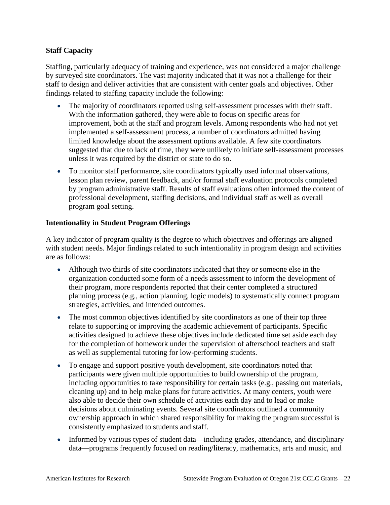### **Staff Capacity**

Staffing, particularly adequacy of training and experience, was not considered a major challenge by surveyed site coordinators. The vast majority indicated that it was not a challenge for their staff to design and deliver activities that are consistent with center goals and objectives. Other findings related to staffing capacity include the following:

- The majority of coordinators reported using self-assessment processes with their staff. With the information gathered, they were able to focus on specific areas for improvement, both at the staff and program levels. Among respondents who had not yet implemented a self-assessment process, a number of coordinators admitted having limited knowledge about the assessment options available. A few site coordinators suggested that due to lack of time, they were unlikely to initiate self-assessment processes unless it was required by the district or state to do so.
- To monitor staff performance, site coordinators typically used informal observations, lesson plan review, parent feedback, and/or formal staff evaluation protocols completed by program administrative staff. Results of staff evaluations often informed the content of professional development, staffing decisions, and individual staff as well as overall program goal setting.

#### **Intentionality in Student Program Offerings**

A key indicator of program quality is the degree to which objectives and offerings are aligned with student needs. Major findings related to such intentionality in program design and activities are as follows:

- Although two thirds of site coordinators indicated that they or someone else in the organization conducted some form of a needs assessment to inform the development of their program, more respondents reported that their center completed a structured planning process (e.g., action planning, logic models) to systematically connect program strategies, activities, and intended outcomes.
- The most common objectives identified by site coordinators as one of their top three relate to supporting or improving the academic achievement of participants. Specific activities designed to achieve these objectives include dedicated time set aside each day for the completion of homework under the supervision of afterschool teachers and staff as well as supplemental tutoring for low-performing students.
- To engage and support positive youth development, site coordinators noted that participants were given multiple opportunities to build ownership of the program, including opportunities to take responsibility for certain tasks (e.g., passing out materials, cleaning up) and to help make plans for future activities. At many centers, youth were also able to decide their own schedule of activities each day and to lead or make decisions about culminating events. Several site coordinators outlined a community ownership approach in which shared responsibility for making the program successful is consistently emphasized to students and staff.
- Informed by various types of student data—including grades, attendance, and disciplinary data—programs frequently focused on reading/literacy, mathematics, arts and music, and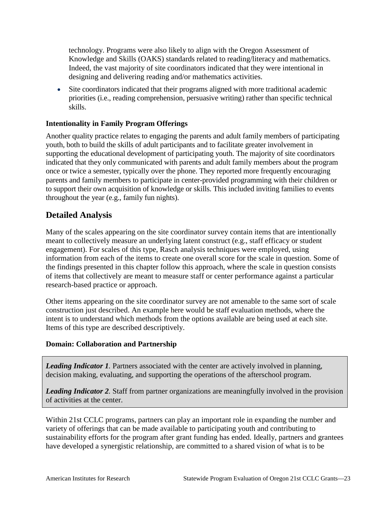technology. Programs were also likely to align with the Oregon Assessment of Knowledge and Skills (OAKS) standards related to reading/literacy and mathematics. Indeed, the vast majority of site coordinators indicated that they were intentional in designing and delivering reading and/or mathematics activities.

• Site coordinators indicated that their programs aligned with more traditional academic priorities (i.e., reading comprehension, persuasive writing) rather than specific technical skills.

### **Intentionality in Family Program Offerings**

Another quality practice relates to engaging the parents and adult family members of participating youth, both to build the skills of adult participants and to facilitate greater involvement in supporting the educational development of participating youth. The majority of site coordinators indicated that they only communicated with parents and adult family members about the program once or twice a semester, typically over the phone. They reported more frequently encouraging parents and family members to participate in center-provided programming with their children or to support their own acquisition of knowledge or skills. This included inviting families to events throughout the year (e.g., family fun nights).

## <span id="page-26-0"></span>**Detailed Analysis**

Many of the scales appearing on the site coordinator survey contain items that are intentionally meant to collectively measure an underlying latent construct (e.g., staff efficacy or student engagement). For scales of this type, Rasch analysis techniques were employed, using information from each of the items to create one overall score for the scale in question. Some of the findings presented in this chapter follow this approach, where the scale in question consists of items that collectively are meant to measure staff or center performance against a particular research-based practice or approach.

Other items appearing on the site coordinator survey are not amenable to the same sort of scale construction just described. An example here would be staff evaluation methods, where the intent is to understand which methods from the options available are being used at each site. Items of this type are described descriptively.

#### **Domain: Collaboration and Partnership**

*Leading Indicator 1.* Partners associated with the center are actively involved in planning, decision making, evaluating, and supporting the operations of the afterschool program.

*Leading Indicator 2.* Staff from partner organizations are meaningfully involved in the provision of activities at the center.

Within 21st CCLC programs, partners can play an important role in expanding the number and variety of offerings that can be made available to participating youth and contributing to sustainability efforts for the program after grant funding has ended. Ideally, partners and grantees have developed a synergistic relationship, are committed to a shared vision of what is to be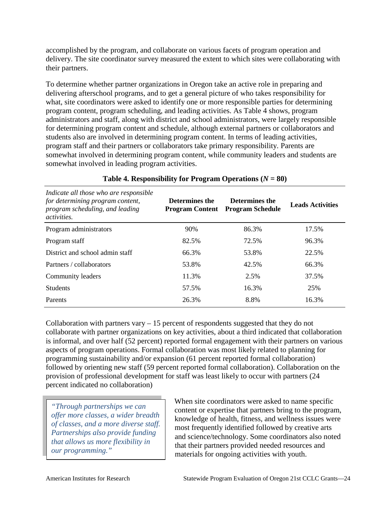accomplished by the program, and collaborate on various facets of program operation and delivery. The site coordinator survey measured the extent to which sites were collaborating with their partners.

To determine whether partner organizations in Oregon take an active role in preparing and delivering afterschool programs, and to get a general picture of who takes responsibility for what, site coordinators were asked to identify one or more responsible parties for determining program content, program scheduling, and leading activities. As Table 4 shows, program administrators and staff, along with district and school administrators, were largely responsible for determining program content and schedule, although external partners or collaborators and students also are involved in determining program content. In terms of leading activities, program staff and their partners or collaborators take primary responsibility. Parents are somewhat involved in determining program content, while community leaders and students are somewhat involved in leading program activities.

| Indicate all those who are responsible<br>for determining program content,<br>program scheduling, and leading<br><i>activities.</i> | Determines the<br><b>Program Content</b> | Determines the<br><b>Program Schedule</b> | <b>Leads Activities</b> |
|-------------------------------------------------------------------------------------------------------------------------------------|------------------------------------------|-------------------------------------------|-------------------------|
| Program administrators                                                                                                              | 90%                                      | 86.3%                                     | 17.5%                   |
| Program staff                                                                                                                       | 82.5%                                    | 72.5%                                     | 96.3%                   |
| District and school admin staff                                                                                                     | 66.3%                                    | 53.8%                                     | 22.5%                   |
| Partners / collaborators                                                                                                            | 53.8%                                    | 42.5%                                     | 66.3%                   |
| Community leaders                                                                                                                   | 11.3%                                    | 2.5%                                      | 37.5%                   |
| <b>Students</b>                                                                                                                     | 57.5%                                    | 16.3%                                     | 25%                     |
| Parents                                                                                                                             | 26.3%                                    | 8.8%                                      | 16.3%                   |

## **Table 4. Responsibility for Program Operations**  $(N = 80)$

Collaboration with partners vary  $-15$  percent of respondents suggested that they do not collaborate with partner organizations on key activities, about a third indicated that collaboration is informal, and over half (52 percent) reported formal engagement with their partners on various aspects of program operations. Formal collaboration was most likely related to planning for programming sustainability and/or expansion (61 percent reported formal collaboration) followed by orienting new staff (59 percent reported formal collaboration). Collaboration on the provision of professional development for staff was least likely to occur with partners (24 percent indicated no collaboration)

*"Through partnerships we can offer more classes, a wider breadth of classes, and a more diverse staff. Partnerships also provide funding that allows us more flexibility in our programming."* 

When site coordinators were asked to name specific content or expertise that partners bring to the program, knowledge of health, fitness, and wellness issues were most frequently identified followed by creative arts and science/technology. Some coordinators also noted that their partners provided needed resources and materials for ongoing activities with youth.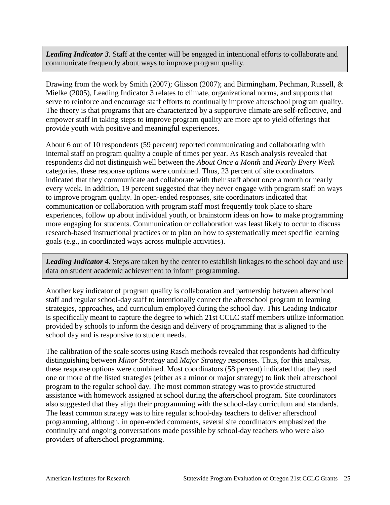*Leading Indicator 3.* Staff at the center will be engaged in intentional efforts to collaborate and communicate frequently about ways to improve program quality.

Drawing from the work by Smith (2007); Glisson (2007); and Birmingham, Pechman, Russell, & Mielke (2005), Leading Indicator 3 relates to climate, organizational norms, and supports that serve to reinforce and encourage staff efforts to continually improve afterschool program quality. The theory is that programs that are characterized by a supportive climate are self-reflective, and empower staff in taking steps to improve program quality are more apt to yield offerings that provide youth with positive and meaningful experiences.

About 6 out of 10 respondents (59 percent) reported communicating and collaborating with internal staff on program quality a couple of times per year. As Rasch analysis revealed that respondents did not distinguish well between the *About Once a Month* and *Nearly Every Week*  categories, these response options were combined. Thus, 23 percent of site coordinators indicated that they communicate and collaborate with their staff about once a month or nearly every week. In addition, 19 percent suggested that they never engage with program staff on ways to improve program quality. In open-ended responses, site coordinators indicated that communication or collaboration with program staff most frequently took place to share experiences, follow up about individual youth, or brainstorm ideas on how to make programming more engaging for students. Communication or collaboration was least likely to occur to discuss research-based instructional practices or to plan on how to systematically meet specific learning goals (e.g., in coordinated ways across multiple activities).

*Leading Indicator 4.* Steps are taken by the center to establish linkages to the school day and use data on student academic achievement to inform programming.

Another key indicator of program quality is collaboration and partnership between afterschool staff and regular school-day staff to intentionally connect the afterschool program to learning strategies, approaches, and curriculum employed during the school day. This Leading Indicator is specifically meant to capture the degree to which 21st CCLC staff members utilize information provided by schools to inform the design and delivery of programming that is aligned to the school day and is responsive to student needs.

The calibration of the scale scores using Rasch methods revealed that respondents had difficulty distinguishing between *Minor Strategy* and *Major Strategy* responses. Thus, for this analysis, these response options were combined. Most coordinators (58 percent) indicated that they used one or more of the listed strategies (either as a minor or major strategy) to link their afterschool program to the regular school day. The most common strategy was to provide structured assistance with homework assigned at school during the afterschool program. Site coordinators also suggested that they align their programming with the school-day curriculum and standards. The least common strategy was to hire regular school-day teachers to deliver afterschool programming, although, in open-ended comments, several site coordinators emphasized the continuity and ongoing conversations made possible by school-day teachers who were also providers of afterschool programming.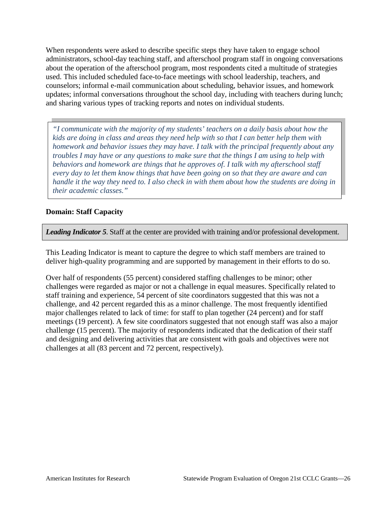When respondents were asked to describe specific steps they have taken to engage school administrators, school-day teaching staff, and afterschool program staff in ongoing conversations about the operation of the afterschool program, most respondents cited a multitude of strategies used. This included scheduled face-to-face meetings with school leadership, teachers, and counselors; informal e-mail communication about scheduling, behavior issues, and homework updates; informal conversations throughout the school day, including with teachers during lunch; and sharing various types of tracking reports and notes on individual students.

*"I communicate with the majority of my students' teachers on a daily basis about how the kids are doing in class and areas they need help with so that I can better help them with homework and behavior issues they may have. I talk with the principal frequently about any troubles I may have or any questions to make sure that the things I am using to help with behaviors and homework are things that he approves of. I talk with my afterschool staff every day to let them know things that have been going on so that they are aware and can handle it the way they need to. I also check in with them about how the students are doing in their academic classes."*

#### **Domain: Staff Capacity**

*Leading Indicator 5*. Staff at the center are provided with training and/or professional development.

This Leading Indicator is meant to capture the degree to which staff members are trained to deliver high-quality programming and are supported by management in their efforts to do so.

Over half of respondents (55 percent) considered staffing challenges to be minor; other challenges were regarded as major or not a challenge in equal measures. Specifically related to staff training and experience, 54 percent of site coordinators suggested that this was not a challenge, and 42 percent regarded this as a minor challenge. The most frequently identified major challenges related to lack of time: for staff to plan together (24 percent) and for staff meetings (19 percent). A few site coordinators suggested that not enough staff was also a major challenge (15 percent). The majority of respondents indicated that the dedication of their staff and designing and delivering activities that are consistent with goals and objectives were not challenges at all (83 percent and 72 percent, respectively).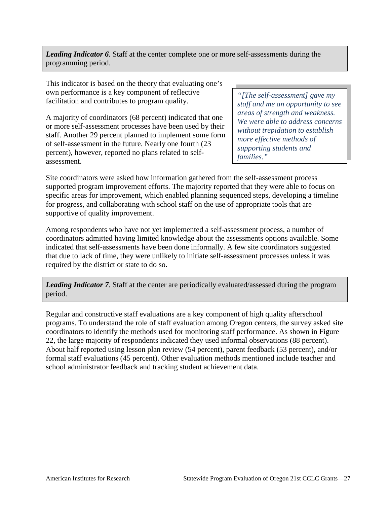*Leading Indicator 6.* Staff at the center complete one or more self-assessments during the programming period.

This indicator is based on the theory that evaluating one's own performance is a key component of reflective facilitation and contributes to program quality.

A majority of coordinators (68 percent) indicated that one or more self-assessment processes have been used by their staff. Another 29 percent planned to implement some form of self-assessment in the future. Nearly one fourth (23 percent), however, reported no plans related to selfassessment.

*"[The self-assessment] gave my staff and me an opportunity to see areas of strength and weakness. We were able to address concerns without trepidation to establish more effective methods of supporting students and families."* 

Site coordinators were asked how information gathered from the self-assessment process supported program improvement efforts. The majority reported that they were able to focus on specific areas for improvement, which enabled planning sequenced steps, developing a timeline for progress, and collaborating with school staff on the use of appropriate tools that are supportive of quality improvement.

Among respondents who have not yet implemented a self-assessment process, a number of coordinators admitted having limited knowledge about the assessments options available. Some indicated that self-assessments have been done informally. A few site coordinators suggested that due to lack of time, they were unlikely to initiate self-assessment processes unless it was required by the district or state to do so.

*Leading Indicator 7.* Staff at the center are periodically evaluated/assessed during the program period.

Regular and constructive staff evaluations are a key component of high quality afterschool programs. To understand the role of staff evaluation among Oregon centers, the survey asked site coordinators to identify the methods used for monitoring staff performance. As shown in Figure 22, the large majority of respondents indicated they used informal observations (88 percent). About half reported using lesson plan review (54 percent), parent feedback (53 percent), and/or formal staff evaluations (45 percent). Other evaluation methods mentioned include teacher and school administrator feedback and tracking student achievement data.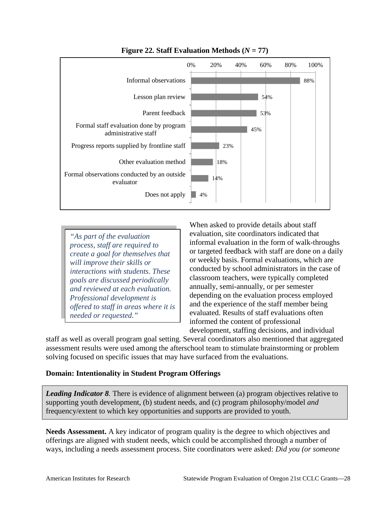

**Figure 22. Staff Evaluation Methods**  $(N = 77)$ 

*"As part of the evaluation process, staff are required to create a goal for themselves that will improve their skills or interactions with students. These goals are discussed periodically and reviewed at each evaluation. Professional development is offered to staff in areas where it is needed or requested."*

When asked to provide details about staff evaluation, site coordinators indicated that informal evaluation in the form of walk-throughs or targeted feedback with staff are done on a daily or weekly basis. Formal evaluations, which are conducted by school administrators in the case of classroom teachers, were typically completed annually, semi-annually, or per semester depending on the evaluation process employed and the experience of the staff member being evaluated. Results of staff evaluations often informed the content of professional development, staffing decisions, and individual

staff as well as overall program goal setting. Several coordinators also mentioned that aggregated assessment results were used among the afterschool team to stimulate brainstorming or problem solving focused on specific issues that may have surfaced from the evaluations.

#### **Domain: Intentionality in Student Program Offerings**

*Leading Indicator 8.* There is evidence of alignment between (a) program objectives relative to supporting youth development, (b) student needs, and (c) program philosophy/model *and* frequency/extent to which key opportunities and supports are provided to youth.

**Needs Assessment.** A key indicator of program quality is the degree to which objectives and offerings are aligned with student needs, which could be accomplished through a number of ways, including a needs assessment process. Site coordinators were asked: *Did you (or someone*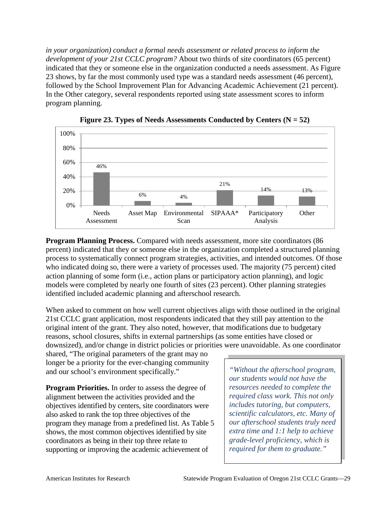*in your organization) conduct a formal needs assessment or related process to inform the development of your 21st CCLC program?* About two thirds of site coordinators (65 percent) indicated that they or someone else in the organization conducted a needs assessment. As Figure 23 shows, by far the most commonly used type was a standard needs assessment (46 percent), followed by the School Improvement Plan for Advancing Academic Achievement (21 percent). In the Other category, several respondents reported using state assessment scores to inform program planning.





**Program Planning Process.** Compared with needs assessment, more site coordinators (86 percent) indicated that they or someone else in the organization completed a structured planning process to systematically connect program strategies, activities, and intended outcomes. Of those who indicated doing so, there were a variety of processes used. The majority (75 percent) cited action planning of some form (i.e., action plans or participatory action planning), and logic models were completed by nearly one fourth of sites (23 percent). Other planning strategies identified included academic planning and afterschool research.

When asked to comment on how well current objectives align with those outlined in the original 21st CCLC grant application, most respondents indicated that they still pay attention to the original intent of the grant. They also noted, however, that modifications due to budgetary reasons, school closures, shifts in external partnerships (as some entities have closed or downsized), and/or change in district policies or priorities were unavoidable. As one coordinator

shared, "The original parameters of the grant may no longer be a priority for the ever-changing community and our school's environment specifically."

**Program Priorities.** In order to assess the degree of alignment between the activities provided and the objectives identified by centers, site coordinators were also asked to rank the top three objectives of the program they manage from a predefined list. As Table 5 shows, the most common objectives identified by site coordinators as being in their top three relate to supporting or improving the academic achievement of

*"Without the afterschool program, our students would not have the resources needed to complete the required class work. This not only includes tutoring, but computers, scientific calculators, etc. Many of our afterschool students truly need extra time and 1:1 help to achieve grade-level proficiency, which is required for them to graduate."*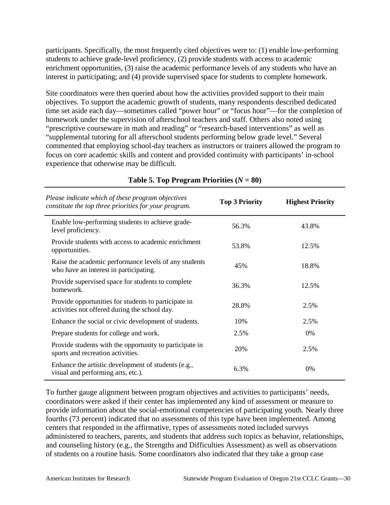participants. Specifically, the most frequently cited objectives were to: (1) enable low-performing students to achieve grade-level proficiency, (2) provide students with access to academic enrichment opportunities, (3) raise the academic performance levels of any students who have an interest in participating; and (4) provide supervised space for students to complete homework.

Site coordinators were then queried about how the activities provided support to their main objectives. To support the academic growth of students, many respondents described dedicated time set aside each day—sometimes called "power hour" or "focus hour"—for the completion of homework under the supervision of afterschool teachers and staff. Others also noted using "prescriptive courseware in math and reading" or "research-based interventions" as well as "supplemental tutoring for all afterschool students performing below grade level." Several commented that employing school-day teachers as instructors or trainers allowed the program to focus on core academic skills and content and provided continuity with participants' in-school experience that otherwise may be difficult.

| Please indicate which of these program objectives<br>constitute the top three priorities for your program. | <b>Top 3 Priority</b> | <b>Highest Priority</b> |
|------------------------------------------------------------------------------------------------------------|-----------------------|-------------------------|
| Enable low-performing students to achieve grade-<br>level proficiency.                                     | 56.3%                 | 43.8%                   |
| Provide students with access to academic enrichment<br>opportunities.                                      | 53.8%                 | 12.5%                   |
| Raise the academic performance levels of any students<br>who have an interest in participating.            | 45%                   | 18.8%                   |
| Provide supervised space for students to complete<br>homework.                                             | 36.3%                 | 12.5%                   |
| Provide opportunities for students to participate in<br>activities not offered during the school day.      | 28.8%                 | 2.5%                    |
| Enhance the social or civic development of students.                                                       | 10%                   | 2.5%                    |
| Prepare students for college and work.                                                                     | 2.5%                  | 0%                      |
| Provide students with the opportunity to participate in<br>sports and recreation activities.               | 20%                   | 2.5%                    |
| Enhance the artistic development of students (e.g.,<br>visual and performing arts, etc.).                  | 6.3%                  | 0%                      |

## **Table 5. Top Program Priorities**  $(N = 80)$

To further gauge alignment between program objectives and activities to participants' needs, coordinators were asked if their center has implemented any kind of assessment or measure to provide information about the social-emotional competencies of participating youth*.* Nearly three fourths (73 percent) indicated that no assessments of this type have been implemented. Among centers that responded in the affirmative, types of assessments noted included surveys administered to teachers, parents, and students that address such topics as behavior, relationships, and counseling history (e.g., the Strengths and Difficulties Assessment) as well as observations of students on a routine basis. Some coordinators also indicated that they take a group case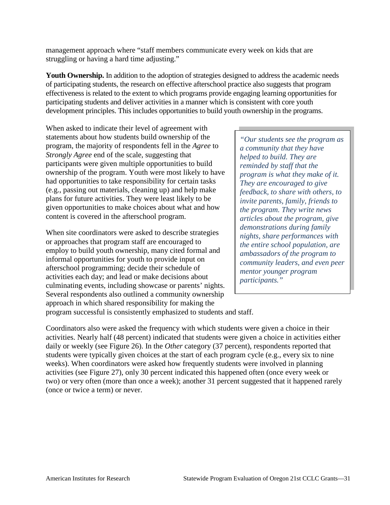management approach where "staff members communicate every week on kids that are struggling or having a hard time adjusting."

**Youth Ownership.** In addition to the adoption of strategies designed to address the academic needs of participating students, the research on effective afterschool practice also suggests that program effectiveness is related to the extent to which programs provide engaging learning opportunities for participating students and deliver activities in a manner which is consistent with core youth development principles. This includes opportunities to build youth ownership in the programs.

When asked to indicate their level of agreement with statements about how students build ownership of the program, the majority of respondents fell in the *Agree* to *Strongly Agree* end of the scale, suggesting that participants were given multiple opportunities to build ownership of the program. Youth were most likely to have had opportunities to take responsibility for certain tasks (e.g., passing out materials, cleaning up) and help make plans for future activities. They were least likely to be given opportunities to make choices about what and how content is covered in the afterschool program.

When site coordinators were asked to describe strategies or approaches that program staff are encouraged to employ to build youth ownership, many cited formal and informal opportunities for youth to provide input on afterschool programming; decide their schedule of activities each day; and lead or make decisions about culminating events, including showcase or parents' nights. Several respondents also outlined a community ownership approach in which shared responsibility for making the

*"Our students see the program as a community that they have helped to build. They are reminded by staff that the program is what they make of it. They are encouraged to give feedback, to share with others, to invite parents, family, friends to the program. They write news articles about the program, give demonstrations during family nights, share performances with the entire school population, are ambassadors of the program to community leaders, and even peer mentor younger program participants."*

program successful is consistently emphasized to students and staff.

Coordinators also were asked the frequency with which students were given a choice in their activities. Nearly half (48 percent) indicated that students were given a choice in activities either daily or weekly (see Figure 26). In the *Other* category (37 percent), respondents reported that students were typically given choices at the start of each program cycle (e.g., every six to nine weeks). When coordinators were asked how frequently students were involved in planning activities (see Figure 27), only 30 percent indicated this happened often (once every week or two) or very often (more than once a week); another 31 percent suggested that it happened rarely (once or twice a term) or never.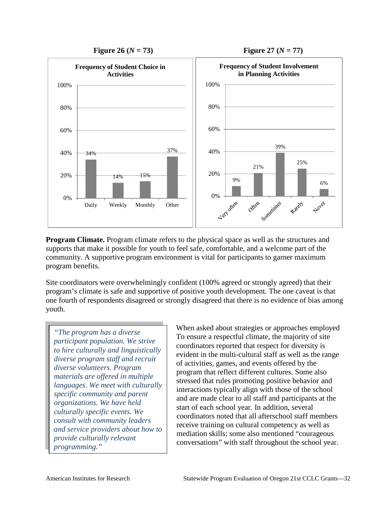

**Program Climate.** Program climate refers to the physical space as well as the structures and supports that make it possible for youth to feel safe, comfortable, and a welcome part of the community. A supportive program environment is vital for participants to garner maximum program benefits.

Site coordinators were overwhelmingly confident (100% agreed or strongly agreed) that their program's climate is safe and supportive of positive youth development. The one caveat is that one fourth of respondents disagreed or strongly disagreed that there is no evidence of bias among youth.

*"The program has a diverse participant population. We strive to hire culturally and linguistically diverse program staff and recruit diverse volunteers. Program materials are offered in multiple languages. We meet with culturally specific community and parent organizations. We have held culturally specific events. We consult with community leaders and service providers about how to provide culturally relevant programming."*

When asked about strategies or approaches employed To ensure a respectful climate, the majority of site coordinators reported that respect for diversity is evident in the multi-cultural staff as well as the range of activities, games, and events offered by the program that reflect different cultures. Some also stressed that rules promoting positive behavior and interactions typically align with those of the school and are made clear to all staff and participants at the start of each school year. In addition, several coordinators noted that all afterschool staff members receive training on cultural competency as well as mediation skills; some also mentioned "courageous conversations" with staff throughout the school year.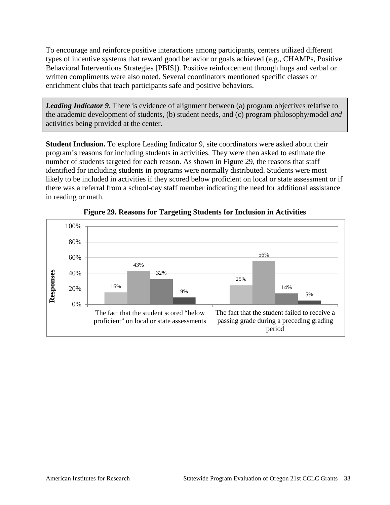To encourage and reinforce positive interactions among participants, centers utilized different types of incentive systems that reward good behavior or goals achieved (e.g., CHAMPs, Positive Behavioral Interventions Strategies [PBIS]). Positive reinforcement through hugs and verbal or written compliments were also noted. Several coordinators mentioned specific classes or enrichment clubs that teach participants safe and positive behaviors.

*Leading Indicator 9*. There is evidence of alignment between (a) program objectives relative to the academic development of students, (b) student needs, and (c) program philosophy/model *and* activities being provided at the center.

**Student Inclusion.** To explore Leading Indicator 9, site coordinators were asked about their program's reasons for including students in activities. They were then asked to estimate the number of students targeted for each reason. As shown in Figure 29, the reasons that staff identified for including students in programs were normally distributed. Students were most likely to be included in activities if they scored below proficient on local or state assessment or if there was a referral from a school-day staff member indicating the need for additional assistance in reading or math.



**Figure 29. Reasons for Targeting Students for Inclusion in Activities**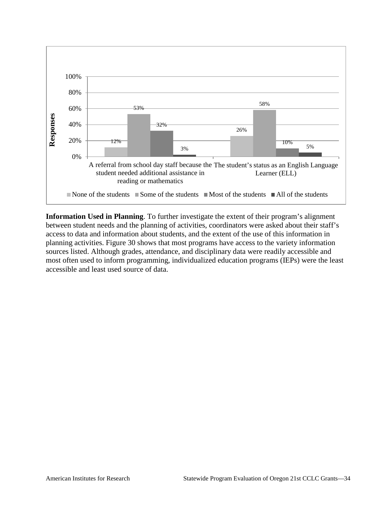

**Information Used in Planning**. To further investigate the extent of their program's alignment between student needs and the planning of activities, coordinators were asked about their staff's access to data and information about students, and the extent of the use of this information in planning activities. Figure 30 shows that most programs have access to the variety information sources listed. Although grades, attendance, and disciplinary data were readily accessible and most often used to inform programming, individualized education programs (IEPs) were the least accessible and least used source of data.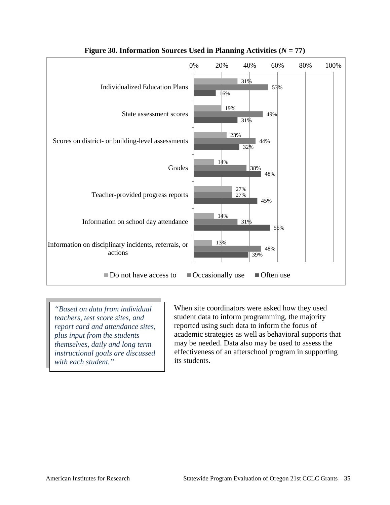

**Figure 30. Information Sources Used in Planning Activities**  $(N = 77)$ 

*"Based on data from individual teachers, test score sites, and report card and attendance sites, plus input from the students themselves, daily and long term instructional goals are discussed with each student."*

When site coordinators were asked how they used student data to inform programming, the majority reported using such data to inform the focus of academic strategies as well as behavioral supports that may be needed. Data also may be used to assess the effectiveness of an afterschool program in supporting its students.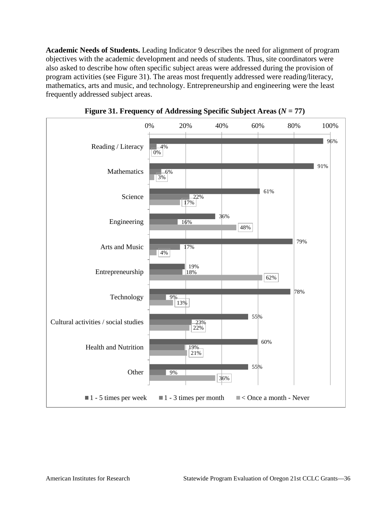**Academic Needs of Students.** Leading Indicator 9 describes the need for alignment of program objectives with the academic development and needs of students. Thus, site coordinators were also asked to describe how often specific subject areas were addressed during the provision of program activities (see Figure 31). The areas most frequently addressed were reading/literacy, mathematics, arts and music, and technology. Entrepreneurship and engineering were the least frequently addressed subject areas.



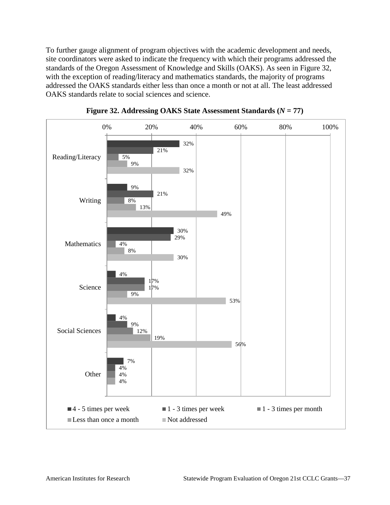To further gauge alignment of program objectives with the academic development and needs, site coordinators were asked to indicate the frequency with which their programs addressed the standards of the Oregon Assessment of Knowledge and Skills (OAKS). As seen in Figure 32, with the exception of reading/literacy and mathematics standards, the majority of programs addressed the OAKS standards either less than once a month or not at all. The least addressed OAKS standards relate to social sciences and science.



**Figure 32. Addressing OAKS State Assessment Standards (***N* **= 77)**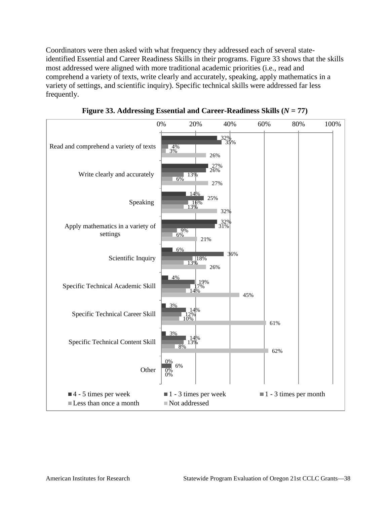Coordinators were then asked with what frequency they addressed each of several stateidentified Essential and Career Readiness Skills in their programs. Figure 33 shows that the skills most addressed were aligned with more traditional academic priorities (i.e., read and comprehend a variety of texts, write clearly and accurately, speaking, apply mathematics in a variety of settings, and scientific inquiry). Specific technical skills were addressed far less frequently.



**Figure 33. Addressing Essential and Career-Readiness Skills (***N* **= 77)**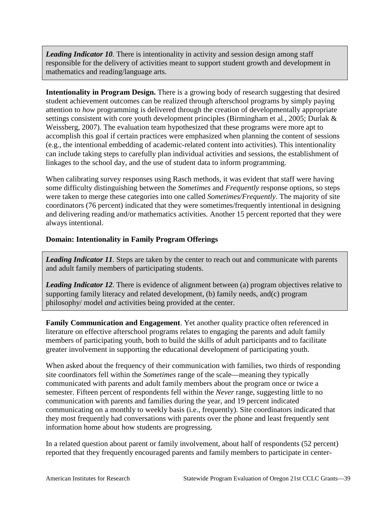Leading Indicator 10. There is intentionality in activity and session design among staff responsible for the delivery of activities meant to support student growth and development in mathematics and reading/language arts.

**Intentionality in Program Design.** There is a growing body of research suggesting that desired student achievement outcomes can be realized through afterschool programs by simply paying attention to *how* programming is delivered through the creation of developmentally appropriate settings consistent with core youth development principles (Birmingham et al., 2005; Durlak & Weissberg, 2007). The evaluation team hypothesized that these programs were more apt to accomplish this goal if certain practices were emphasized when planning the content of sessions (e.g., the intentional embedding of academic-related content into activities). This intentionality can include taking steps to carefully plan individual activities and sessions, the establishment of linkages to the school day, and the use of student data to inform programming.

When calibrating survey responses using Rasch methods, it was evident that staff were having some difficulty distinguishing between the *Sometimes* and *Frequently* response options, so steps were taken to merge these categories into one called *Sometimes/Frequently*. The majority of site coordinators (76 percent) indicated that they were sometimes/frequently intentional in designing and delivering reading and/or mathematics activities. Another 15 percent reported that they were always intentional.

## **Domain: Intentionality in Family Program Offerings**

*Leading Indicator 11.* Steps are taken by the center to reach out and communicate with parents and adult family members of participating students.

*Leading Indicator 12.* There is evidence of alignment between (a) program objectives relative to supporting family literacy and related development, (b) family needs, and(c) program philosophy/ model *and* activities being provided at the center.

**Family Communication and Engagement**. Yet another quality practice often referenced in literature on effective afterschool programs relates to engaging the parents and adult family members of participating youth, both to build the skills of adult participants and to facilitate greater involvement in supporting the educational development of participating youth.

When asked about the frequency of their communication with families, two thirds of responding site coordinators fell within the *Sometimes* range of the scale—meaning they typically communicated with parents and adult family members about the program once or twice a semester. Fifteen percent of respondents fell within the *Never* range, suggesting little to no communication with parents and families during the year, and 19 percent indicated communicating on a monthly to weekly basis (i.e., frequently). Site coordinators indicated that they most frequently had conversations with parents over the phone and least frequently sent information home about how students are progressing.

In a related question about parent or family involvement, about half of respondents (52 percent) reported that they frequently encouraged parents and family members to participate in center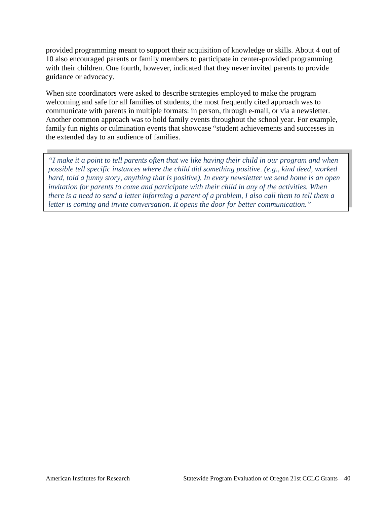provided programming meant to support their acquisition of knowledge or skills. About 4 out of 10 also encouraged parents or family members to participate in center-provided programming with their children. One fourth, however, indicated that they never invited parents to provide guidance or advocacy.

When site coordinators were asked to describe strategies employed to make the program welcoming and safe for all families of students, the most frequently cited approach was to communicate with parents in multiple formats: in person, through e-mail, or via a newsletter. Another common approach was to hold family events throughout the school year. For example, family fun nights or culmination events that showcase "student achievements and successes in the extended day to an audience of families.

*"I make it a point to tell parents often that we like having their child in our program and when possible tell specific instances where the child did something positive. (e.g., kind deed, worked hard, told a funny story, anything that is positive). In every newsletter we send home is an open invitation for parents to come and participate with their child in any of the activities. When there is a need to send a letter informing a parent of a problem, I also call them to tell them a letter is coming and invite conversation. It opens the door for better communication."*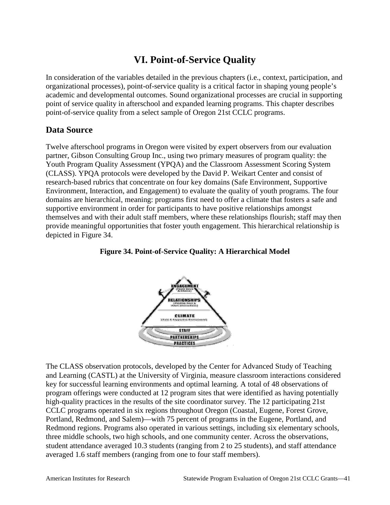# **VI. Point-of-Service Quality**

In consideration of the variables detailed in the previous chapters (i.e., context, participation, and organizational processes), point-of-service quality is a critical factor in shaping young people's academic and developmental outcomes. Sound organizational processes are crucial in supporting point of service quality in afterschool and expanded learning programs. This chapter describes point-of-service quality from a select sample of Oregon 21st CCLC programs.

## **Data Source**

Twelve afterschool programs in Oregon were visited by expert observers from our evaluation partner, Gibson Consulting Group Inc., using two primary measures of program quality: the Youth Program Quality Assessment (YPQA) and the Classroom Assessment Scoring System (CLASS). YPQA protocols were developed by the David P. Weikart Center and consist of research-based rubrics that concentrate on four key domains (Safe Environment, Supportive Environment, Interaction, and Engagement) to evaluate the quality of youth programs. The four domains are hierarchical, meaning: programs first need to offer a climate that fosters a safe and supportive environment in order for participants to have positive relationships amongst themselves and with their adult staff members, where these relationships flourish; staff may then provide meaningful opportunities that foster youth engagement. This hierarchical relationship is depicted in Figure 34.





The CLASS observation protocols, developed by the Center for Advanced Study of Teaching and Learning (CASTL) at the University of Virginia, measure classroom interactions considered key for successful learning environments and optimal learning. A total of 48 observations of program offerings were conducted at 12 program sites that were identified as having potentially high-quality practices in the results of the site coordinator survey. The 12 participating 21st CCLC programs operated in six regions throughout Oregon (Coastal, Eugene, Forest Grove, Portland, Redmond, and Salem)—with 75 percent of programs in the Eugene, Portland, and Redmond regions. Programs also operated in various settings, including six elementary schools, three middle schools, two high schools, and one community center. Across the observations, student attendance averaged 10.3 students (ranging from 2 to 25 students), and staff attendance averaged 1.6 staff members (ranging from one to four staff members).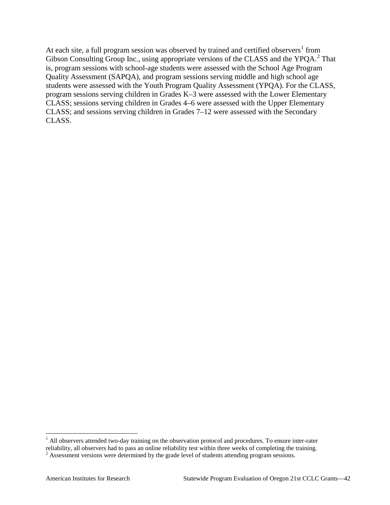At each site, a full program session was observed by trained and certified observers<sup>[1](#page-3-0)</sup> from Gibson Consulting Group Inc., using appropriate versions of the CLASS and the YPQA.<sup>[2](#page-45-0)</sup> That is, program sessions with school-age students were assessed with the School Age Program Quality Assessment (SAPQA), and program sessions serving middle and high school age students were assessed with the Youth Program Quality Assessment (YPQA). For the CLASS, program sessions serving children in Grades K–3 were assessed with the Lower Elementary CLASS; sessions serving children in Grades 4–6 were assessed with the Upper Elementary CLASS; and sessions serving children in Grades 7–12 were assessed with the Secondary CLASS.

<sup>&</sup>lt;sup>1</sup> All observers attended two-day training on the observation protocol and procedures. To ensure inter-rater reliability, all observers had to pass an online reliability test within three weeks of completing the training.

<span id="page-45-0"></span><sup>&</sup>lt;sup>2</sup> Assessment versions were determined by the grade level of students attending program sessions.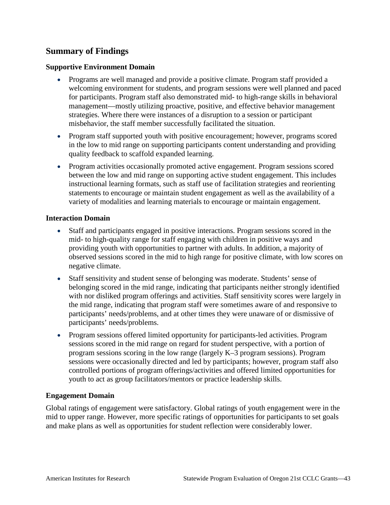## **Summary of Findings**

### **Supportive Environment Domain**

- Programs are well managed and provide a positive climate. Program staff provided a welcoming environment for students, and program sessions were well planned and paced for participants. Program staff also demonstrated mid- to high-range skills in behavioral management—mostly utilizing proactive, positive, and effective behavior management strategies. Where there were instances of a disruption to a session or participant misbehavior, the staff member successfully facilitated the situation.
- Program staff supported youth with positive encouragement; however, programs scored in the low to mid range on supporting participants content understanding and providing quality feedback to scaffold expanded learning.
- Program activities occasionally promoted active engagement. Program sessions scored between the low and mid range on supporting active student engagement. This includes instructional learning formats, such as staff use of facilitation strategies and reorienting statements to encourage or maintain student engagement as well as the availability of a variety of modalities and learning materials to encourage or maintain engagement.

### **Interaction Domain**

- Staff and participants engaged in positive interactions. Program sessions scored in the mid- to high-quality range for staff engaging with children in positive ways and providing youth with opportunities to partner with adults. In addition, a majority of observed sessions scored in the mid to high range for positive climate, with low scores on negative climate.
- Staff sensitivity and student sense of belonging was moderate. Students' sense of belonging scored in the mid range, indicating that participants neither strongly identified with nor disliked program offerings and activities. Staff sensitivity scores were largely in the mid range, indicating that program staff were sometimes aware of and responsive to participants' needs/problems, and at other times they were unaware of or dismissive of participants' needs/problems.
- Program sessions offered limited opportunity for participants-led activities. Program sessions scored in the mid range on regard for student perspective, with a portion of program sessions scoring in the low range (largely K–3 program sessions). Program sessions were occasionally directed and led by participants; however, program staff also controlled portions of program offerings/activities and offered limited opportunities for youth to act as group facilitators/mentors or practice leadership skills.

### **Engagement Domain**

Global ratings of engagement were satisfactory. Global ratings of youth engagement were in the mid to upper range. However, more specific ratings of opportunities for participants to set goals and make plans as well as opportunities for student reflection were considerably lower.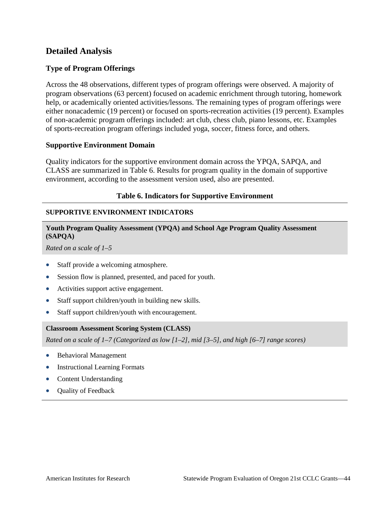## **Detailed Analysis**

### **Type of Program Offerings**

Across the 48 observations, different types of program offerings were observed. A majority of program observations (63 percent) focused on academic enrichment through tutoring, homework help, or academically oriented activities/lessons. The remaining types of program offerings were either nonacademic (19 percent) or focused on sports-recreation activities (19 percent). Examples of non-academic program offerings included: art club, chess club, piano lessons, etc. Examples of sports-recreation program offerings included yoga, soccer, fitness force, and others.

### **Supportive Environment Domain**

Quality indicators for the supportive environment domain across the YPQA, SAPQA, and CLASS are summarized in Table 6. Results for program quality in the domain of supportive environment, according to the assessment version used, also are presented.

### **Table 6. Indicators for Supportive Environment**

### **SUPPORTIVE ENVIRONMENT INDICATORS**

### **Youth Program Quality Assessment (YPQA) and School Age Program Quality Assessment (SAPQA)**

*Rated on a scale of 1–5* 

- Staff provide a welcoming atmosphere.
- Session flow is planned, presented, and paced for youth.
- Activities support active engagement.
- Staff support children/youth in building new skills.
- Staff support children/youth with encouragement.

### **Classroom Assessment Scoring System (CLASS)**

*Rated on a scale of 1–7 (Categorized as low [1–2], mid [3–5], and high [6–7] range scores)*

- Behavioral Management
- Instructional Learning Formats
- Content Understanding
- Quality of Feedback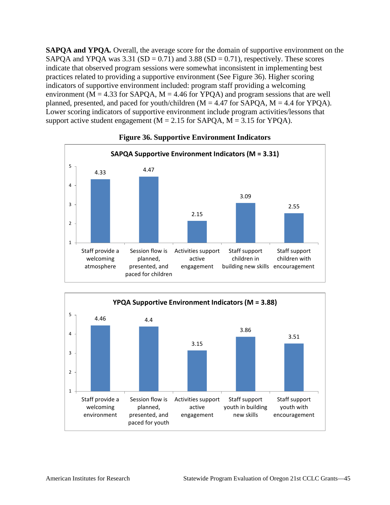**SAPQA and YPQA***.* Overall, the average score for the domain of supportive environment on the SAPQA and YPQA was  $3.31$  (SD = 0.71) and  $3.88$  (SD = 0.71), respectively. These scores indicate that observed program sessions were somewhat inconsistent in implementing best practices related to providing a supportive environment (See Figure 36). Higher scoring indicators of supportive environment included: program staff providing a welcoming environment ( $M = 4.33$  for SAPQA,  $M = 4.46$  for YPQA) and program sessions that are well planned, presented, and paced for youth/children  $(M = 4.47$  for SAPQA,  $M = 4.4$  for YPQA). Lower scoring indicators of supportive environment include program activities/lessons that support active student engagement ( $M = 2.15$  for SAPQA,  $M = 3.15$  for YPQA).



### **Figure 36. Supportive Environment Indicators**

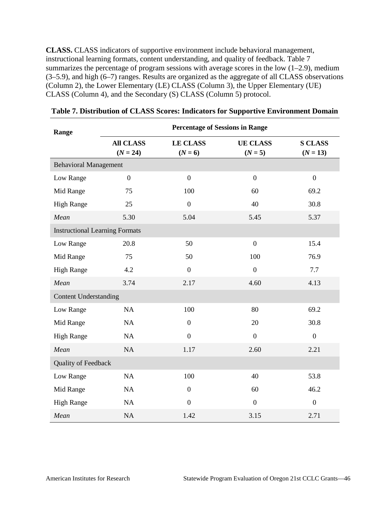**CLASS.** CLASS indicators of supportive environment include behavioral management, instructional learning formats, content understanding, and quality of feedback. Table 7 summarizes the percentage of program sessions with average scores in the low  $(1-2.9)$ , medium (3–5.9), and high (6–7) ranges. Results are organized as the aggregate of all CLASS observations (Column 2), the Lower Elementary (LE) CLASS (Column 3), the Upper Elementary (UE) CLASS (Column 4), and the Secondary (S) CLASS (Column 5) protocol.

| Range                                 | <b>Percentage of Sessions in Range</b> |                              |                              |                              |  |  |  |  |
|---------------------------------------|----------------------------------------|------------------------------|------------------------------|------------------------------|--|--|--|--|
|                                       | <b>All CLASS</b><br>$(N = 24)$         | <b>LE CLASS</b><br>$(N = 6)$ | <b>UE CLASS</b><br>$(N = 5)$ | <b>S CLASS</b><br>$(N = 13)$ |  |  |  |  |
| <b>Behavioral Management</b>          |                                        |                              |                              |                              |  |  |  |  |
| Low Range                             | $\overline{0}$                         | $\overline{0}$               | $\overline{0}$               | $\overline{0}$               |  |  |  |  |
| Mid Range                             | 75                                     | 100                          | 60                           | 69.2                         |  |  |  |  |
| <b>High Range</b>                     | 25                                     | $\boldsymbol{0}$             | 40                           | 30.8                         |  |  |  |  |
| Mean                                  | 5.30                                   | 5.04                         | 5.45                         | 5.37                         |  |  |  |  |
| <b>Instructional Learning Formats</b> |                                        |                              |                              |                              |  |  |  |  |
| Low Range                             | 20.8                                   | 50                           | $\overline{0}$               | 15.4                         |  |  |  |  |
| Mid Range                             | 75                                     | 50                           | 100                          | 76.9                         |  |  |  |  |
| <b>High Range</b>                     | 4.2                                    | $\overline{0}$               | $\overline{0}$               | 7.7                          |  |  |  |  |
| Mean                                  | 3.74                                   | 2.17                         | 4.60                         | 4.13                         |  |  |  |  |
| <b>Content Understanding</b>          |                                        |                              |                              |                              |  |  |  |  |
| Low Range                             | <b>NA</b>                              | 100                          | 80                           | 69.2                         |  |  |  |  |
| Mid Range                             | NA                                     | $\overline{0}$               | 20                           | 30.8                         |  |  |  |  |
| <b>High Range</b>                     | NA                                     | $\overline{0}$               | $\overline{0}$               | $\overline{0}$               |  |  |  |  |
| Mean                                  | <b>NA</b>                              | 1.17                         | 2.60                         | 2.21                         |  |  |  |  |
| Quality of Feedback                   |                                        |                              |                              |                              |  |  |  |  |
| Low Range                             | <b>NA</b>                              | 100                          | 40                           | 53.8                         |  |  |  |  |
| Mid Range                             | NA                                     | $\boldsymbol{0}$             | 60                           | 46.2                         |  |  |  |  |
| <b>High Range</b>                     | NA                                     | $\overline{0}$               | $\overline{0}$               | $\overline{0}$               |  |  |  |  |
| Mean                                  | NA                                     | 1.42                         | 3.15                         | 2.71                         |  |  |  |  |

| Table 7. Distribution of CLASS Scores: Indicators for Supportive Environment Domain |  |  |  |
|-------------------------------------------------------------------------------------|--|--|--|
|                                                                                     |  |  |  |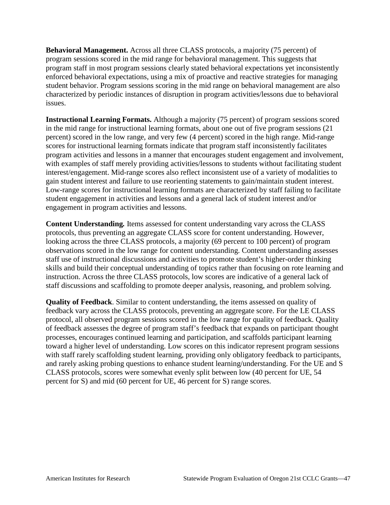**Behavioral Management.** Across all three CLASS protocols, a majority (75 percent) of program sessions scored in the mid range for behavioral management. This suggests that program staff in most program sessions clearly stated behavioral expectations yet inconsistently enforced behavioral expectations, using a mix of proactive and reactive strategies for managing student behavior. Program sessions scoring in the mid range on behavioral management are also characterized by periodic instances of disruption in program activities/lessons due to behavioral issues.

**Instructional Learning Formats.** Although a majority (75 percent) of program sessions scored in the mid range for instructional learning formats, about one out of five program sessions (21 percent) scored in the low range, and very few (4 percent) scored in the high range. Mid-range scores for instructional learning formats indicate that program staff inconsistently facilitates program activities and lessons in a manner that encourages student engagement and involvement, with examples of staff merely providing activities/lessons to students without facilitating student interest/engagement. Mid-range scores also reflect inconsistent use of a variety of modalities to gain student interest and failure to use reorienting statements to gain/maintain student interest. Low-range scores for instructional learning formats are characterized by staff failing to facilitate student engagement in activities and lessons and a general lack of student interest and/or engagement in program activities and lessons.

**Content Understanding***.* Items assessed for content understanding vary across the CLASS protocols, thus preventing an aggregate CLASS score for content understanding. However, looking across the three CLASS protocols, a majority (69 percent to 100 percent) of program observations scored in the low range for content understanding. Content understanding assesses staff use of instructional discussions and activities to promote student's higher-order thinking skills and build their conceptual understanding of topics rather than focusing on rote learning and instruction. Across the three CLASS protocols, low scores are indicative of a general lack of staff discussions and scaffolding to promote deeper analysis, reasoning, and problem solving.

**Quality of Feedback**. Similar to content understanding, the items assessed on quality of feedback vary across the CLASS protocols, preventing an aggregate score. For the LE CLASS protocol, all observed program sessions scored in the low range for quality of feedback. Quality of feedback assesses the degree of program staff's feedback that expands on participant thought processes, encourages continued learning and participation, and scaffolds participant learning toward a higher level of understanding. Low scores on this indicator represent program sessions with staff rarely scaffolding student learning, providing only obligatory feedback to participants, and rarely asking probing questions to enhance student learning/understanding. For the UE and S CLASS protocols, scores were somewhat evenly split between low (40 percent for UE, 54 percent for S) and mid (60 percent for UE, 46 percent for S) range scores.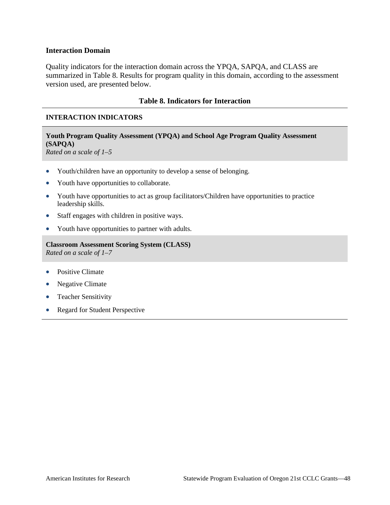### **Interaction Domain**

Quality indicators for the interaction domain across the YPQA, SAPQA, and CLASS are summarized in Table 8. Results for program quality in this domain, according to the assessment version used, are presented below.

### **Table 8. Indicators for Interaction**

### **INTERACTION INDICATORS**

## **Youth Program Quality Assessment (YPQA) and School Age Program Quality Assessment (SAPQA)**

*Rated on a scale of 1–5*

- Youth/children have an opportunity to develop a sense of belonging.
- Youth have opportunities to collaborate.
- Youth have opportunities to act as group facilitators/Children have opportunities to practice leadership skills.
- Staff engages with children in positive ways.
- Youth have opportunities to partner with adults.

**Classroom Assessment Scoring System (CLASS)** *Rated on a scale of 1–7* 

- Positive Climate
- Negative Climate
- Teacher Sensitivity
- Regard for Student Perspective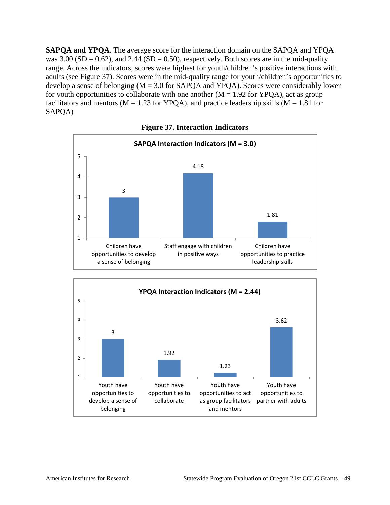**SAPQA and YPQA***.* The average score for the interaction domain on the SAPQA and YPQA was  $3.00$  (SD = 0.62), and  $2.44$  (SD = 0.50), respectively. Both scores are in the mid-quality range. Across the indicators, scores were highest for youth/children's positive interactions with adults (see Figure 37). Scores were in the mid-quality range for youth/children's opportunities to develop a sense of belonging (M = 3.0 for SAPQA and YPQA). Scores were considerably lower for youth opportunities to collaborate with one another  $(M = 1.92$  for YPQA), act as group facilitators and mentors ( $M = 1.23$  for YPQA), and practice leadership skills ( $M = 1.81$  for SAPQA)



**Figure 37. Interaction Indicators**

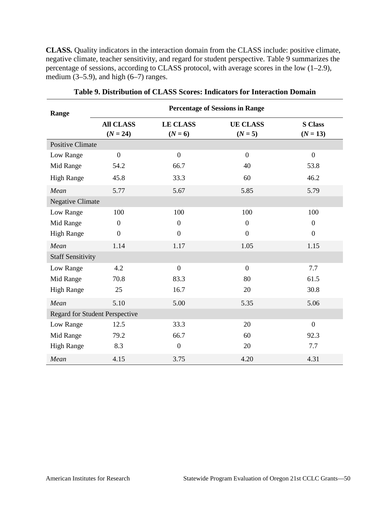**CLASS***.* Quality indicators in the interaction domain from the CLASS include: positive climate, negative climate, teacher sensitivity, and regard for student perspective. Table 9 summarizes the percentage of sessions, according to CLASS protocol, with average scores in the low (1–2.9), medium  $(3-5.9)$ , and high  $(6-7)$  ranges.

| Range                    | <b>Percentage of Sessions in Range</b>                         |                |                              |                              |  |  |  |  |
|--------------------------|----------------------------------------------------------------|----------------|------------------------------|------------------------------|--|--|--|--|
|                          | <b>All CLASS</b><br><b>LE CLASS</b><br>$(N = 24)$<br>$(N = 6)$ |                | <b>UE CLASS</b><br>$(N = 5)$ | <b>S</b> Class<br>$(N = 13)$ |  |  |  |  |
| <b>Positive Climate</b>  |                                                                |                |                              |                              |  |  |  |  |
| Low Range                | $\mathbf{0}$                                                   | $\overline{0}$ | $\overline{0}$               | $\overline{0}$               |  |  |  |  |
| Mid Range                | 54.2                                                           | 66.7           | 40                           | 53.8                         |  |  |  |  |
| <b>High Range</b>        | 45.8                                                           | 33.3           | 60                           | 46.2                         |  |  |  |  |
| Mean                     | 5.77                                                           | 5.67           | 5.85                         | 5.79                         |  |  |  |  |
| <b>Negative Climate</b>  |                                                                |                |                              |                              |  |  |  |  |
| Low Range                | 100                                                            | 100            | 100                          | 100                          |  |  |  |  |
| Mid Range                | $\boldsymbol{0}$                                               | $\overline{0}$ | $\boldsymbol{0}$             | $\mathbf{0}$                 |  |  |  |  |
| <b>High Range</b>        | $\mathbf{0}$                                                   | $\overline{0}$ | $\overline{0}$               | $\overline{0}$               |  |  |  |  |
| Mean                     | 1.14                                                           | 1.17           | 1.05                         | 1.15                         |  |  |  |  |
| <b>Staff Sensitivity</b> |                                                                |                |                              |                              |  |  |  |  |
| Low Range                | 4.2                                                            | $\overline{0}$ | $\overline{0}$               | 7.7                          |  |  |  |  |
| Mid Range                | 70.8                                                           | 83.3           | 80                           | 61.5                         |  |  |  |  |
| <b>High Range</b>        | 25                                                             | 16.7           | 20                           | 30.8                         |  |  |  |  |
| Mean                     | 5.10                                                           | 5.00           | 5.35                         | 5.06                         |  |  |  |  |
|                          | <b>Regard for Student Perspective</b>                          |                |                              |                              |  |  |  |  |
| Low Range                | 12.5                                                           | 33.3           | 20                           | $\theta$                     |  |  |  |  |
| Mid Range                | 79.2                                                           | 66.7           | 60                           | 92.3                         |  |  |  |  |
| <b>High Range</b>        | 8.3                                                            | $\mathbf{0}$   | 20                           | 7.7                          |  |  |  |  |
| Mean                     | 4.15                                                           | 3.75           | 4.20                         | 4.31                         |  |  |  |  |

**Table 9. Distribution of CLASS Scores: Indicators for Interaction Domain**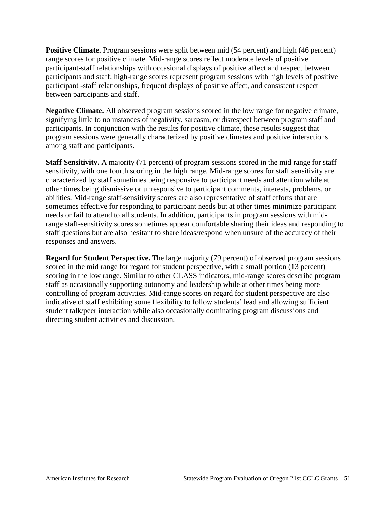**Positive Climate.** Program sessions were split between mid (54 percent) and high (46 percent) range scores for positive climate. Mid-range scores reflect moderate levels of positive participant-staff relationships with occasional displays of positive affect and respect between participants and staff; high-range scores represent program sessions with high levels of positive participant -staff relationships, frequent displays of positive affect, and consistent respect between participants and staff.

**Negative Climate.** All observed program sessions scored in the low range for negative climate, signifying little to no instances of negativity, sarcasm, or disrespect between program staff and participants. In conjunction with the results for positive climate, these results suggest that program sessions were generally characterized by positive climates and positive interactions among staff and participants.

**Staff Sensitivity.** A majority (71 percent) of program sessions scored in the mid range for staff sensitivity, with one fourth scoring in the high range. Mid-range scores for staff sensitivity are characterized by staff sometimes being responsive to participant needs and attention while at other times being dismissive or unresponsive to participant comments, interests, problems, or abilities. Mid-range staff-sensitivity scores are also representative of staff efforts that are sometimes effective for responding to participant needs but at other times minimize participant needs or fail to attend to all students. In addition, participants in program sessions with midrange staff-sensitivity scores sometimes appear comfortable sharing their ideas and responding to staff questions but are also hesitant to share ideas/respond when unsure of the accuracy of their responses and answers.

**Regard for Student Perspective.** The large majority (79 percent) of observed program sessions scored in the mid range for regard for student perspective, with a small portion (13 percent) scoring in the low range. Similar to other CLASS indicators, mid-range scores describe program staff as occasionally supporting autonomy and leadership while at other times being more controlling of program activities. Mid-range scores on regard for student perspective are also indicative of staff exhibiting some flexibility to follow students' lead and allowing sufficient student talk/peer interaction while also occasionally dominating program discussions and directing student activities and discussion.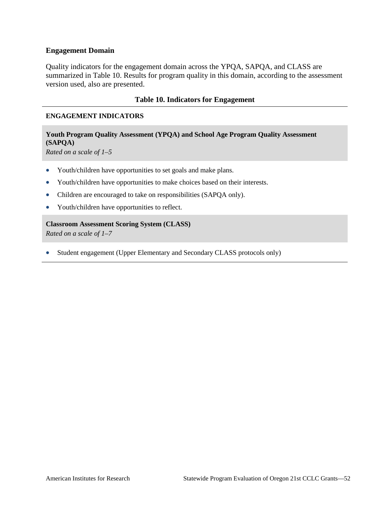### **Engagement Domain**

Quality indicators for the engagement domain across the YPQA, SAPQA, and CLASS are summarized in Table 10. Results for program quality in this domain, according to the assessment version used, also are presented.

### **Table 10. Indicators for Engagement**

### **ENGAGEMENT INDICATORS**

### **Youth Program Quality Assessment (YPQA) and School Age Program Quality Assessment (SAPQA)**

*Rated on a scale of 1–5*

- Youth/children have opportunities to set goals and make plans.
- Youth/children have opportunities to make choices based on their interests.
- Children are encouraged to take on responsibilities (SAPQA only).
- Youth/children have opportunities to reflect.

**Classroom Assessment Scoring System (CLASS)**

*Rated on a scale of 1–7* 

• Student engagement (Upper Elementary and Secondary CLASS protocols only)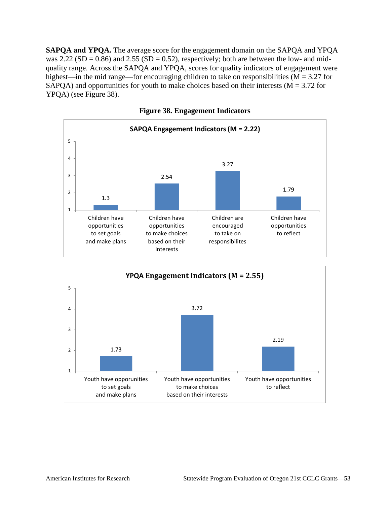**SAPQA and YPQA.** The average score for the engagement domain on the SAPQA and YPQA was 2.22 (SD = 0.86) and 2.55 (SD = 0.52), respectively; both are between the low- and midquality range. Across the SAPQA and YPQA, scores for quality indicators of engagement were highest—in the mid range—for encouraging children to take on responsibilities ( $M = 3.27$  for SAPQA) and opportunities for youth to make choices based on their interests ( $M = 3.72$  for YPQA) (see Figure 38).



**Figure 38. Engagement Indicators**

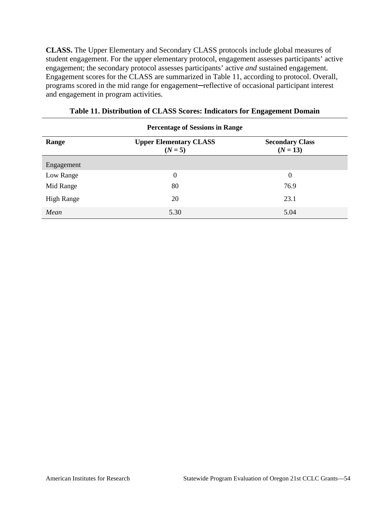**CLASS.** The Upper Elementary and Secondary CLASS protocols include global measures of student engagement. For the upper elementary protocol, engagement assesses participants' active engagement; the secondary protocol assesses participants' active *and* sustained engagement. Engagement scores for the CLASS are summarized in Table 11, according to protocol. Overall, programs scored in the mid range for engagement─reflective of occasional participant interest and engagement in program activities.

| <b>Percentage of Sessions in Range</b> |                                            |                                      |  |  |  |  |  |  |
|----------------------------------------|--------------------------------------------|--------------------------------------|--|--|--|--|--|--|
| Range                                  | <b>Upper Elementary CLASS</b><br>$(N = 5)$ | <b>Secondary Class</b><br>$(N = 13)$ |  |  |  |  |  |  |
| Engagement                             |                                            |                                      |  |  |  |  |  |  |
| Low Range                              | $\boldsymbol{0}$                           | $\overline{0}$                       |  |  |  |  |  |  |
| Mid Range                              | 80                                         | 76.9                                 |  |  |  |  |  |  |
| <b>High Range</b>                      | 20                                         | 23.1                                 |  |  |  |  |  |  |
| Mean                                   | 5.30                                       | 5.04                                 |  |  |  |  |  |  |

| Table 11. Distribution of CLASS Scores: Indicators for Engagement Domain |  |  |
|--------------------------------------------------------------------------|--|--|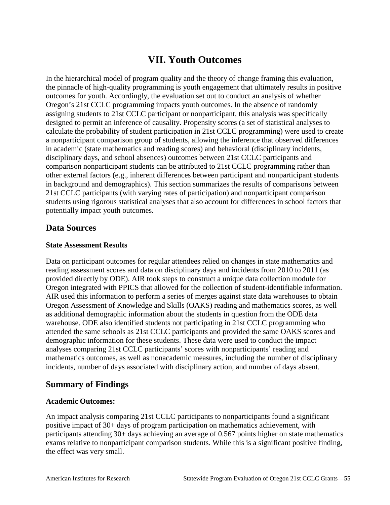# **VII. Youth Outcomes**

In the hierarchical model of program quality and the theory of change framing this evaluation, the pinnacle of high-quality programming is youth engagement that ultimately results in positive outcomes for youth. Accordingly, the evaluation set out to conduct an analysis of whether Oregon's 21st CCLC programming impacts youth outcomes. In the absence of randomly assigning students to 21st CCLC participant or nonparticipant, this analysis was specifically designed to permit an inference of causality. Propensity scores (a set of statistical analyses to calculate the probability of student participation in 21st CCLC programming) were used to create a nonparticipant comparison group of students, allowing the inference that observed differences in academic (state mathematics and reading scores) and behavioral (disciplinary incidents, disciplinary days, and school absences) outcomes between 21st CCLC participants and comparison nonparticipant students can be attributed to 21st CCLC programming rather than other external factors (e.g., inherent differences between participant and nonparticipant students in background and demographics). This section summarizes the results of comparisons between 21st CCLC participants (with varying rates of participation) and nonparticipant comparison students using rigorous statistical analyses that also account for differences in school factors that potentially impact youth outcomes.

## **Data Sources**

### **State Assessment Results**

Data on participant outcomes for regular attendees relied on changes in state mathematics and reading assessment scores and data on disciplinary days and incidents from 2010 to 2011 (as provided directly by ODE). AIR took steps to construct a unique data collection module for Oregon integrated with PPICS that allowed for the collection of student-identifiable information. AIR used this information to perform a series of merges against state data warehouses to obtain Oregon Assessment of Knowledge and Skills (OAKS) reading and mathematics scores, as well as additional demographic information about the students in question from the ODE data warehouse. ODE also identified students not participating in 21st CCLC programming who attended the same schools as 21st CCLC participants and provided the same OAKS scores and demographic information for these students. These data were used to conduct the impact analyses comparing 21st CCLC participants' scores with nonparticipants' reading and mathematics outcomes, as well as nonacademic measures, including the number of disciplinary incidents, number of days associated with disciplinary action, and number of days absent.

## **Summary of Findings**

### **Academic Outcomes:**

An impact analysis comparing 21st CCLC participants to nonparticipants found a significant positive impact of 30+ days of program participation on mathematics achievement, with participants attending 30+ days achieving an average of 0.567 points higher on state mathematics exams relative to nonparticipant comparison students. While this is a significant positive finding, the effect was very small.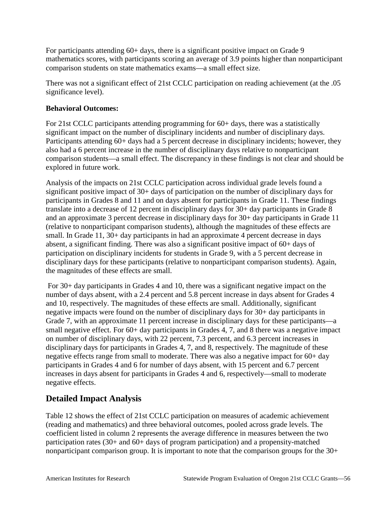For participants attending 60+ days, there is a significant positive impact on Grade 9 mathematics scores, with participants scoring an average of 3.9 points higher than nonparticipant comparison students on state mathematics exams—a small effect size.

There was not a significant effect of 21st CCLC participation on reading achievement (at the .05 significance level).

## **Behavioral Outcomes:**

For 21st CCLC participants attending programming for 60+ days, there was a statistically significant impact on the number of disciplinary incidents and number of disciplinary days. Participants attending 60+ days had a 5 percent decrease in disciplinary incidents; however, they also had a 6 percent increase in the number of disciplinary days relative to nonparticipant comparison students—a small effect. The discrepancy in these findings is not clear and should be explored in future work.

Analysis of the impacts on 21st CCLC participation across individual grade levels found a significant positive impact of 30+ days of participation on the number of disciplinary days for participants in Grades 8 and 11 and on days absent for participants in Grade 11. These findings translate into a decrease of 12 percent in disciplinary days for 30+ day participants in Grade 8 and an approximate 3 percent decrease in disciplinary days for 30+ day participants in Grade 11 (relative to nonparticipant comparison students), although the magnitudes of these effects are small. In Grade 11, 30+ day participants in had an approximate 4 percent decrease in days absent, a significant finding. There was also a significant positive impact of 60+ days of participation on disciplinary incidents for students in Grade 9, with a 5 percent decrease in disciplinary days for these participants (relative to nonparticipant comparison students). Again, the magnitudes of these effects are small.

For 30+ day participants in Grades 4 and 10, there was a significant negative impact on the number of days absent, with a 2.4 percent and 5.8 percent increase in days absent for Grades 4 and 10, respectively. The magnitudes of these effects are small. Additionally, significant negative impacts were found on the number of disciplinary days for 30+ day participants in Grade 7, with an approximate 11 percent increase in disciplinary days for these participants—a small negative effect. For 60+ day participants in Grades 4, 7, and 8 there was a negative impact on number of disciplinary days, with 22 percent, 7.3 percent, and 6.3 percent increases in disciplinary days for participants in Grades 4, 7, and 8, respectively. The magnitude of these negative effects range from small to moderate. There was also a negative impact for 60+ day participants in Grades 4 and 6 for number of days absent, with 15 percent and 6.7 percent increases in days absent for participants in Grades 4 and 6, respectively—small to moderate negative effects.

## **Detailed Impact Analysis**

Table 12 shows the effect of 21st CCLC participation on measures of academic achievement (reading and mathematics) and three behavioral outcomes, pooled across grade levels. The coefficient listed in column 2 represents the average difference in measures between the two participation rates (30+ and 60+ days of program participation) and a propensity-matched nonparticipant comparison group. It is important to note that the comparison groups for the 30+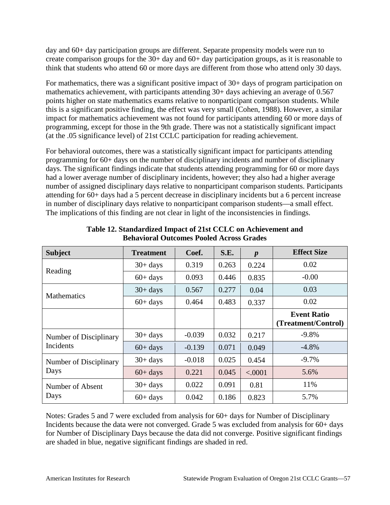day and 60+ day participation groups are different. Separate propensity models were run to create comparison groups for the 30+ day and 60+ day participation groups, as it is reasonable to think that students who attend 60 or more days are different from those who attend only 30 days.

For mathematics, there was a significant positive impact of 30+ days of program participation on mathematics achievement, with participants attending 30+ days achieving an average of 0.567 points higher on state mathematics exams relative to nonparticipant comparison students. While this is a significant positive finding, the effect was very small (Cohen, 1988). However, a similar impact for mathematics achievement was not found for participants attending 60 or more days of programming, except for those in the 9th grade. There was not a statistically significant impact (at the .05 significance level) of 21st CCLC participation for reading achievement.

For behavioral outcomes, there was a statistically significant impact for participants attending programming for 60+ days on the number of disciplinary incidents and number of disciplinary days. The significant findings indicate that students attending programming for 60 or more days had a lower average number of disciplinary incidents, however; they also had a higher average number of assigned disciplinary days relative to nonparticipant comparison students. Participants attending for 60+ days had a 5 percent decrease in disciplinary incidents but a 6 percent increase in number of disciplinary days relative to nonparticipant comparison students—a small effect. The implications of this finding are not clear in light of the inconsistencies in findings.

| <b>Subject</b>         | <b>Treatment</b> | Coef.    | S.E.  | $\boldsymbol{p}$ | <b>Effect Size</b>                        |
|------------------------|------------------|----------|-------|------------------|-------------------------------------------|
| Reading                | $30+ days$       | 0.319    | 0.263 | 0.224            | 0.02                                      |
|                        | $60+$ days       | 0.093    | 0.446 | 0.835            | $-0.00$                                   |
| <b>Mathematics</b>     | $30+ days$       | 0.567    | 0.277 | 0.04             | 0.03                                      |
|                        | $60+ days$       | 0.464    | 0.483 | 0.337            | 0.02                                      |
|                        |                  |          |       |                  | <b>Event Ratio</b><br>(Treatment/Control) |
| Number of Disciplinary | $30+ days$       | $-0.039$ | 0.032 | 0.217            | $-9.8%$                                   |
| <b>Incidents</b>       | $60+$ days       | $-0.139$ | 0.071 | 0.049            | $-4.8\%$                                  |
| Number of Disciplinary | $30+ days$       | $-0.018$ | 0.025 | 0.454            | $-9.7\%$                                  |
| Days                   | $60+$ days       | 0.221    | 0.045 | < .0001          | 5.6%                                      |
| Number of Absent       | $30+ days$       | 0.022    | 0.091 | 0.81             | 11%                                       |
| Days                   | $60+$ days       | 0.042    | 0.186 | 0.823            | 5.7%                                      |

| Table 12. Standardized Impact of 21st CCLC on Achievement and |
|---------------------------------------------------------------|
| <b>Behavioral Outcomes Pooled Across Grades</b>               |

Notes: Grades 5 and 7 were excluded from analysis for 60+ days for Number of Disciplinary Incidents because the data were not converged. Grade 5 was excluded from analysis for 60+ days for Number of Disciplinary Days because the data did not converge. Positive significant findings are shaded in blue, negative significant findings are shaded in red.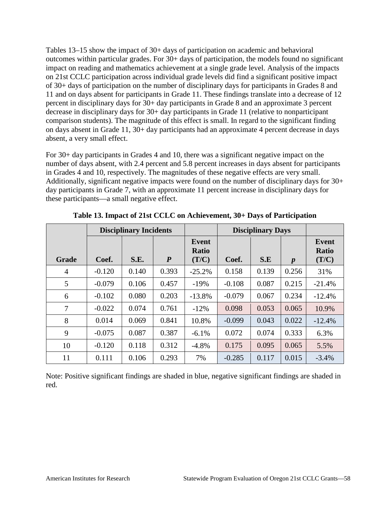Tables 13–15 show the impact of 30+ days of participation on academic and behavioral outcomes within particular grades. For 30+ days of participation, the models found no significant impact on reading and mathematics achievement at a single grade level. Analysis of the impacts on 21st CCLC participation across individual grade levels did find a significant positive impact of 30+ days of participation on the number of disciplinary days for participants in Grades 8 and 11 and on days absent for participants in Grade 11. These findings translate into a decrease of 12 percent in disciplinary days for 30+ day participants in Grade 8 and an approximate 3 percent decrease in disciplinary days for 30+ day participants in Grade 11 (relative to nonparticipant comparison students). The magnitude of this effect is small. In regard to the significant finding on days absent in Grade 11, 30+ day participants had an approximate 4 percent decrease in days absent, a very small effect.

For 30+ day participants in Grades 4 and 10, there was a significant negative impact on the number of days absent, with 2.4 percent and 5.8 percent increases in days absent for participants in Grades 4 and 10, respectively. The magnitudes of these negative effects are very small. Additionally, significant negative impacts were found on the number of disciplinary days for 30+ day participants in Grade 7, with an approximate 11 percent increase in disciplinary days for these participants—a small negative effect.

|                | <b>Disciplinary Incidents</b> |       |                  | <b>Disciplinary Days</b>       |          |       |                  |                                |
|----------------|-------------------------------|-------|------------------|--------------------------------|----------|-------|------------------|--------------------------------|
| Grade          | Coef.                         | S.E.  | $\boldsymbol{P}$ | Event<br><b>Ratio</b><br>(T/C) | Coef.    | S.E   | $\boldsymbol{p}$ | Event<br><b>Ratio</b><br>(T/C) |
| $\overline{4}$ | $-0.120$                      | 0.140 | 0.393            | $-25.2%$                       | 0.158    | 0.139 | 0.256            | 31%                            |
| 5              | $-0.079$                      | 0.106 | 0.457            | $-19%$                         | $-0.108$ | 0.087 | 0.215            | $-21.4%$                       |
| 6              | $-0.102$                      | 0.080 | 0.203            | $-13.8%$                       | $-0.079$ | 0.067 | 0.234            | $-12.4%$                       |
| 7              | $-0.022$                      | 0.074 | 0.761            | $-12%$                         | 0.098    | 0.053 | 0.065            | 10.9%                          |
| 8              | 0.014                         | 0.069 | 0.841            | 10.8%                          | $-0.099$ | 0.043 | 0.022            | $-12.4%$                       |
| 9              | $-0.075$                      | 0.087 | 0.387            | $-6.1\%$                       | 0.072    | 0.074 | 0.333            | 6.3%                           |
| 10             | $-0.120$                      | 0.118 | 0.312            | $-4.8%$                        | 0.175    | 0.095 | 0.065            | 5.5%                           |
| 11             | 0.111                         | 0.106 | 0.293            | 7%                             | $-0.285$ | 0.117 | 0.015            | $-3.4%$                        |

**Table 13. Impact of 21st CCLC on Achievement, 30+ Days of Participation**

Note: Positive significant findings are shaded in blue, negative significant findings are shaded in red.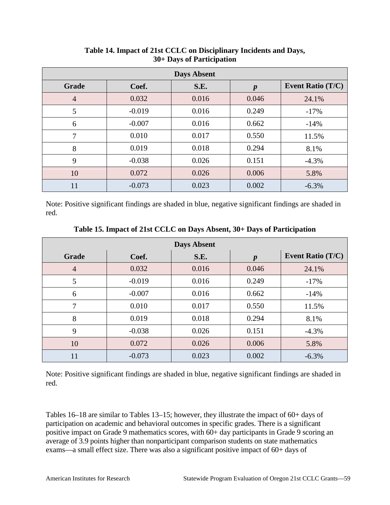| <b>Days Absent</b> |          |       |                  |                          |  |  |  |  |  |
|--------------------|----------|-------|------------------|--------------------------|--|--|--|--|--|
| <b>Grade</b>       | Coef.    | S.E.  | $\boldsymbol{p}$ | <b>Event Ratio (T/C)</b> |  |  |  |  |  |
| $\overline{4}$     | 0.032    | 0.016 | 0.046            | 24.1%                    |  |  |  |  |  |
| 5                  | $-0.019$ | 0.016 | 0.249            | $-17%$                   |  |  |  |  |  |
| 6                  | $-0.007$ | 0.016 | 0.662            | $-14%$                   |  |  |  |  |  |
| 7                  | 0.010    | 0.017 | 0.550            | 11.5%                    |  |  |  |  |  |
| 8                  | 0.019    | 0.018 | 0.294            | 8.1%                     |  |  |  |  |  |
| 9                  | $-0.038$ | 0.026 | 0.151            | $-4.3%$                  |  |  |  |  |  |
| 10                 | 0.072    | 0.026 | 0.006            | 5.8%                     |  |  |  |  |  |
| 11                 | $-0.073$ | 0.023 | 0.002            | $-6.3%$                  |  |  |  |  |  |

**Table 14. Impact of 21st CCLC on Disciplinary Incidents and Days, 30+ Days of Participation**

Note: Positive significant findings are shaded in blue, negative significant findings are shaded in red.

| <b>Days Absent</b> |          |       |                  |                          |  |  |  |  |  |
|--------------------|----------|-------|------------------|--------------------------|--|--|--|--|--|
| <b>Grade</b>       | Coef.    | S.E.  | $\boldsymbol{p}$ | <b>Event Ratio (T/C)</b> |  |  |  |  |  |
| $\overline{4}$     | 0.032    | 0.016 | 0.046            | 24.1%                    |  |  |  |  |  |
| 5                  | $-0.019$ | 0.016 | 0.249            | $-17%$                   |  |  |  |  |  |
| 6                  | $-0.007$ | 0.016 | 0.662            | $-14%$                   |  |  |  |  |  |
| 7                  | 0.010    | 0.017 | 0.550            | 11.5%                    |  |  |  |  |  |
| 8                  | 0.019    | 0.018 | 0.294            | 8.1%                     |  |  |  |  |  |
| 9                  | $-0.038$ | 0.026 | 0.151            | $-4.3%$                  |  |  |  |  |  |
| 10                 | 0.072    | 0.026 | 0.006            | 5.8%                     |  |  |  |  |  |
| 11                 | $-0.073$ | 0.023 | 0.002            | $-6.3%$                  |  |  |  |  |  |

**Table 15. Impact of 21st CCLC on Days Absent, 30+ Days of Participation**

Note: Positive significant findings are shaded in blue, negative significant findings are shaded in red.

Tables 16–18 are similar to Tables 13–15; however, they illustrate the impact of 60+ days of participation on academic and behavioral outcomes in specific grades. There is a significant positive impact on Grade 9 mathematics scores, with 60+ day participants in Grade 9 scoring an average of 3.9 points higher than nonparticipant comparison students on state mathematics exams—a small effect size. There was also a significant positive impact of 60+ days of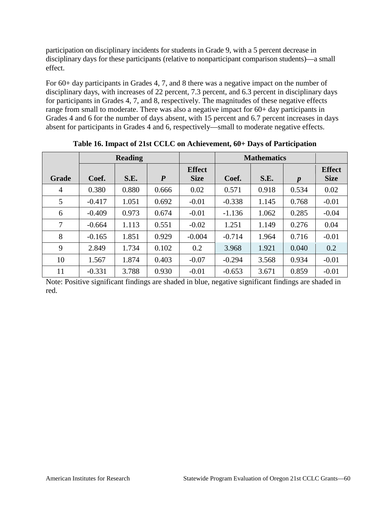participation on disciplinary incidents for students in Grade 9, with a 5 percent decrease in disciplinary days for these participants (relative to nonparticipant comparison students)—a small effect.

For 60+ day participants in Grades 4, 7, and 8 there was a negative impact on the number of disciplinary days, with increases of 22 percent, 7.3 percent, and 6.3 percent in disciplinary days for participants in Grades 4, 7, and 8, respectively. The magnitudes of these negative effects range from small to moderate. There was also a negative impact for 60+ day participants in Grades 4 and 6 for the number of days absent, with 15 percent and 6.7 percent increases in days absent for participants in Grades 4 and 6, respectively—small to moderate negative effects.

|       | <b>Reading</b> |       |                  |                              | <b>Mathematics</b> |       |                  |                              |
|-------|----------------|-------|------------------|------------------------------|--------------------|-------|------------------|------------------------------|
| Grade | Coef.          | S.E.  | $\boldsymbol{P}$ | <b>Effect</b><br><b>Size</b> | Coef.              | S.E.  | $\boldsymbol{p}$ | <b>Effect</b><br><b>Size</b> |
| 4     | 0.380          | 0.880 | 0.666            | 0.02                         | 0.571              | 0.918 | 0.534            | 0.02                         |
| 5     | $-0.417$       | 1.051 | 0.692            | $-0.01$                      | $-0.338$           | 1.145 | 0.768            | $-0.01$                      |
| 6     | $-0.409$       | 0.973 | 0.674            | $-0.01$                      | $-1.136$           | 1.062 | 0.285            | $-0.04$                      |
| 7     | $-0.664$       | 1.113 | 0.551            | $-0.02$                      | 1.251              | 1.149 | 0.276            | 0.04                         |
| 8     | $-0.165$       | 1.851 | 0.929            | $-0.004$                     | $-0.714$           | 1.964 | 0.716            | $-0.01$                      |
| 9     | 2.849          | 1.734 | 0.102            | 0.2                          | 3.968              | 1.921 | 0.040            | 0.2                          |
| 10    | 1.567          | 1.874 | 0.403            | $-0.07$                      | $-0.294$           | 3.568 | 0.934            | $-0.01$                      |
| 11    | $-0.331$       | 3.788 | 0.930            | $-0.01$                      | $-0.653$           | 3.671 | 0.859            | $-0.01$                      |

**Table 16. Impact of 21st CCLC on Achievement, 60+ Days of Participation**

Note: Positive significant findings are shaded in blue, negative significant findings are shaded in red.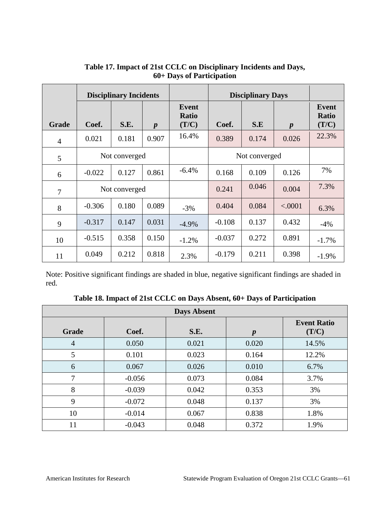|                | <b>Disciplinary Incidents</b> |       |                  |                                       | <b>Disciplinary Days</b> |               |                  |                                       |
|----------------|-------------------------------|-------|------------------|---------------------------------------|--------------------------|---------------|------------------|---------------------------------------|
| Grade          | Coef.                         | S.E.  | $\boldsymbol{p}$ | <b>Event</b><br><b>Ratio</b><br>(T/C) | Coef.                    | S.E           | $\boldsymbol{p}$ | <b>Event</b><br><b>Ratio</b><br>(T/C) |
| $\overline{4}$ | 0.021                         | 0.181 | 0.907            | 16.4%                                 | 0.389                    | 0.174         | 0.026            | 22.3%                                 |
| 5              | Not converged                 |       |                  |                                       |                          | Not converged |                  |                                       |
| 6              | $-0.022$                      | 0.127 | 0.861            | $-6.4\%$                              | 0.168                    | 0.109         | 0.126            | 7%                                    |
| 7              | Not converged                 |       |                  |                                       | 0.241                    | 0.046         | 0.004            | 7.3%                                  |
| 8              | $-0.306$                      | 0.180 | 0.089            | $-3%$                                 | 0.404                    | 0.084         | < .0001          | 6.3%                                  |
| 9              | $-0.317$                      | 0.147 | 0.031            | $-4.9%$                               | $-0.108$                 | 0.137         | 0.432            | $-4%$                                 |
| 10             | $-0.515$                      | 0.358 | 0.150            | $-1.2%$                               | $-0.037$                 | 0.272         | 0.891            | $-1.7\%$                              |
| 11             | 0.049                         | 0.212 | 0.818            | 2.3%                                  | $-0.179$                 | 0.211         | 0.398            | $-1.9\%$                              |

## **Table 17. Impact of 21st CCLC on Disciplinary Incidents and Days, 60+ Days of Participation**

Note: Positive significant findings are shaded in blue, negative significant findings are shaded in red.

| Table 18. Impact of 21st CCLC on Days Absent, 60+ Days of Participation |  |  |
|-------------------------------------------------------------------------|--|--|
|                                                                         |  |  |

| <b>Days Absent</b> |          |       |                  |                             |  |  |
|--------------------|----------|-------|------------------|-----------------------------|--|--|
| <b>Grade</b>       | Coef.    | S.E.  | $\boldsymbol{p}$ | <b>Event Ratio</b><br>(T/C) |  |  |
| $\overline{4}$     | 0.050    | 0.021 | 0.020            | 14.5%                       |  |  |
| 5                  | 0.101    | 0.023 | 0.164            | 12.2%                       |  |  |
| 6                  | 0.067    | 0.026 | 0.010            | 6.7%                        |  |  |
| 7                  | $-0.056$ | 0.073 | 0.084            | 3.7%                        |  |  |
| 8                  | $-0.039$ | 0.042 | 0.353            | 3%                          |  |  |
| 9                  | $-0.072$ | 0.048 | 0.137            | 3%                          |  |  |
| 10                 | $-0.014$ | 0.067 | 0.838            | 1.8%                        |  |  |
| 11                 | $-0.043$ | 0.048 | 0.372            | 1.9%                        |  |  |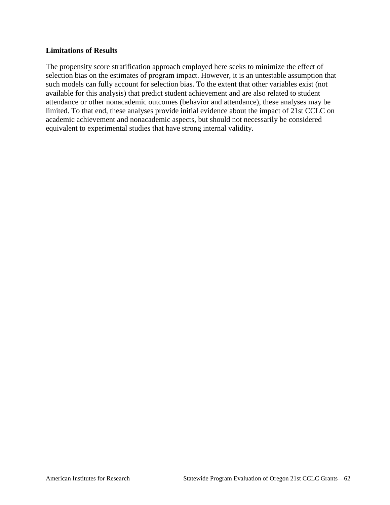### **Limitations of Results**

The propensity score stratification approach employed here seeks to minimize the effect of selection bias on the estimates of program impact. However, it is an untestable assumption that such models can fully account for selection bias. To the extent that other variables exist (not available for this analysis) that predict student achievement and are also related to student attendance or other nonacademic outcomes (behavior and attendance), these analyses may be limited. To that end, these analyses provide initial evidence about the impact of 21st CCLC on academic achievement and nonacademic aspects, but should not necessarily be considered equivalent to experimental studies that have strong internal validity.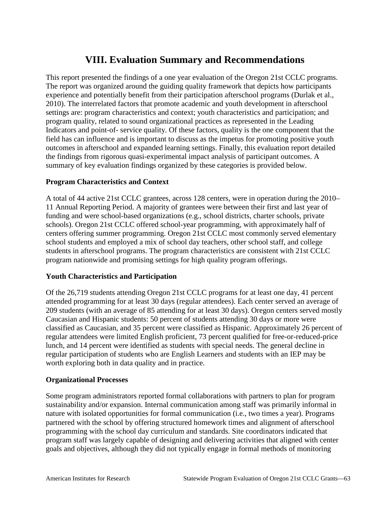# **VIII. Evaluation Summary and Recommendations**

This report presented the findings of a one year evaluation of the Oregon 21st CCLC programs. The report was organized around the guiding quality framework that depicts how participants experience and potentially benefit from their participation afterschool programs (Durlak et al., 2010). The interrelated factors that promote academic and youth development in afterschool settings are: program characteristics and context; youth characteristics and participation; and program quality, related to sound organizational practices as represented in the Leading Indicators and point-of- service quality. Of these factors, quality is the one component that the field has can influence and is important to discuss as the impetus for promoting positive youth outcomes in afterschool and expanded learning settings. Finally, this evaluation report detailed the findings from rigorous quasi-experimental impact analysis of participant outcomes. A summary of key evaluation findings organized by these categories is provided below.

### **Program Characteristics and Context**

A total of 44 active 21st CCLC grantees, across 128 centers, were in operation during the 2010– 11 Annual Reporting Period. A majority of grantees were between their first and last year of funding and were school-based organizations (e.g., school districts, charter schools, private schools). Oregon 21st CCLC offered school-year programming, with approximately half of centers offering summer programming. Oregon 21st CCLC most commonly served elementary school students and employed a mix of school day teachers, other school staff, and college students in afterschool programs. The program characteristics are consistent with 21st CCLC program nationwide and promising settings for high quality program offerings.

## **Youth Characteristics and Participation**

Of the 26,719 students attending Oregon 21st CCLC programs for at least one day, 41 percent attended programming for at least 30 days (regular attendees). Each center served an average of 209 students (with an average of 85 attending for at least 30 days). Oregon centers served mostly Caucasian and Hispanic students: 50 percent of students attending 30 days or more were classified as Caucasian, and 35 percent were classified as Hispanic. Approximately 26 percent of regular attendees were limited English proficient, 73 percent qualified for free-or-reduced-price lunch, and 14 percent were identified as students with special needs. The general decline in regular participation of students who are English Learners and students with an IEP may be worth exploring both in data quality and in practice.

### **Organizational Processes**

Some program administrators reported formal collaborations with partners to plan for program sustainability and/or expansion. Internal communication among staff was primarily informal in nature with isolated opportunities for formal communication (i.e., two times a year). Programs partnered with the school by offering structured homework times and alignment of afterschool programming with the school day curriculum and standards. Site coordinators indicated that program staff was largely capable of designing and delivering activities that aligned with center goals and objectives, although they did not typically engage in formal methods of monitoring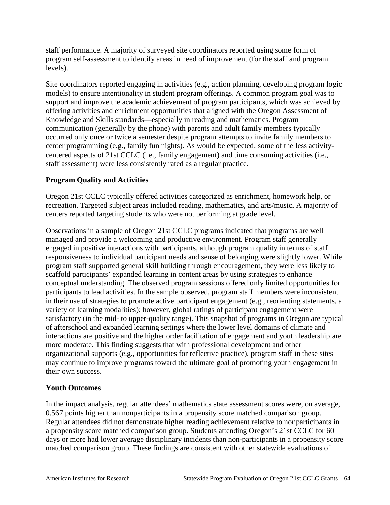staff performance. A majority of surveyed site coordinators reported using some form of program self-assessment to identify areas in need of improvement (for the staff and program levels).

Site coordinators reported engaging in activities (e.g., action planning, developing program logic models) to ensure intentionality in student program offerings. A common program goal was to support and improve the academic achievement of program participants, which was achieved by offering activities and enrichment opportunities that aligned with the Oregon Assessment of Knowledge and Skills standards—especially in reading and mathematics. Program communication (generally by the phone) with parents and adult family members typically occurred only once or twice a semester despite program attempts to invite family members to center programming (e.g., family fun nights). As would be expected, some of the less activitycentered aspects of 21st CCLC (i.e., family engagement) and time consuming activities (i.e., staff assessment) were less consistently rated as a regular practice.

## **Program Quality and Activities**

Oregon 21st CCLC typically offered activities categorized as enrichment, homework help, or recreation. Targeted subject areas included reading, mathematics, and arts/music. A majority of centers reported targeting students who were not performing at grade level.

Observations in a sample of Oregon 21st CCLC programs indicated that programs are well managed and provide a welcoming and productive environment. Program staff generally engaged in positive interactions with participants, although program quality in terms of staff responsiveness to individual participant needs and sense of belonging were slightly lower. While program staff supported general skill building through encouragement, they were less likely to scaffold participants' expanded learning in content areas by using strategies to enhance conceptual understanding. The observed program sessions offered only limited opportunities for participants to lead activities. In the sample observed, program staff members were inconsistent in their use of strategies to promote active participant engagement (e.g., reorienting statements, a variety of learning modalities); however, global ratings of participant engagement were satisfactory (in the mid- to upper-quality range). This snapshot of programs in Oregon are typical of afterschool and expanded learning settings where the lower level domains of climate and interactions are positive and the higher order facilitation of engagement and youth leadership are more moderate. This finding suggests that with professional development and other organizational supports (e.g., opportunities for reflective practice), program staff in these sites may continue to improve programs toward the ultimate goal of promoting youth engagement in their own success.

## **Youth Outcomes**

In the impact analysis, regular attendees' mathematics state assessment scores were, on average, 0.567 points higher than nonparticipants in a propensity score matched comparison group. Regular attendees did not demonstrate higher reading achievement relative to nonparticipants in a propensity score matched comparison group. Students attending Oregon's 21st CCLC for 60 days or more had lower average disciplinary incidents than non-participants in a propensity score matched comparison group. These findings are consistent with other statewide evaluations of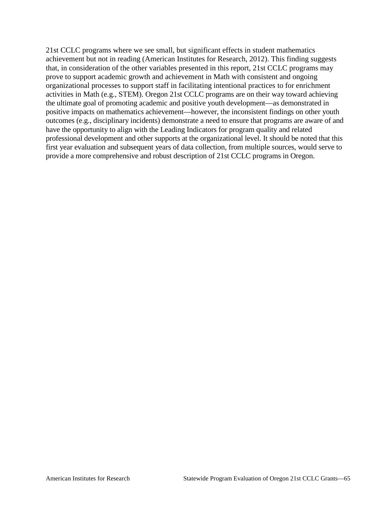21st CCLC programs where we see small, but significant effects in student mathematics achievement but not in reading (American Institutes for Research, 2012). This finding suggests that, in consideration of the other variables presented in this report, 21st CCLC programs may prove to support academic growth and achievement in Math with consistent and ongoing organizational processes to support staff in facilitating intentional practices to for enrichment activities in Math (e.g., STEM). Oregon 21st CCLC programs are on their way toward achieving the ultimate goal of promoting academic and positive youth development—as demonstrated in positive impacts on mathematics achievement—however, the inconsistent findings on other youth outcomes (e.g., disciplinary incidents) demonstrate a need to ensure that programs are aware of and have the opportunity to align with the Leading Indicators for program quality and related professional development and other supports at the organizational level. It should be noted that this first year evaluation and subsequent years of data collection, from multiple sources, would serve to provide a more comprehensive and robust description of 21st CCLC programs in Oregon.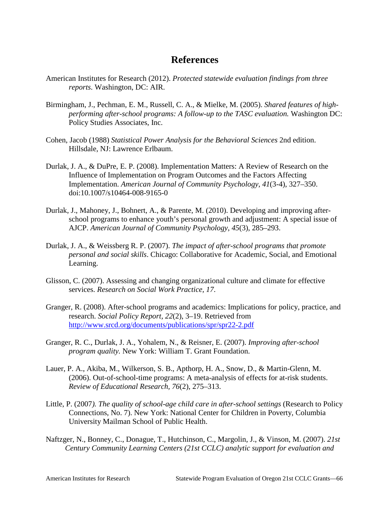## **References**

- American Institutes for Research (2012). *Protected statewide evaluation findings from three reports*. Washington, DC: AIR.
- Birmingham, J., Pechman, E. M., Russell, C. A., & Mielke, M. (2005). *Shared features of highperforming after-school programs: A follow-up to the TASC evaluation.* Washington DC: Policy Studies Associates, Inc.
- Cohen, Jacob (1988) *Statistical Power Analysis for the Behavioral Sciences* 2nd edition. Hillsdale, NJ: Lawrence Erlbaum.
- Durlak, J. A., & DuPre, E. P. (2008). Implementation Matters: A Review of Research on the Influence of Implementation on Program Outcomes and the Factors Affecting Implementation. *American Journal of Community Psychology*, *41*(3-4), 327–350. doi:10.1007/s10464-008-9165-0
- Durlak, J., Mahoney, J., Bohnert, A., & Parente, M. (2010). Developing and improving afterschool programs to enhance youth's personal growth and adjustment: A special issue of AJCP. *American Journal of Community Psychology*, *45*(3), 285–293.
- Durlak, J. A., & Weissberg R. P. (2007). *The impact of after-school programs that promote personal and social skills*. Chicago: Collaborative for Academic, Social, and Emotional Learning.
- Glisson, C. (2007). Assessing and changing organizational culture and climate for effective services. *Research on Social Work Practice, 17*.
- Granger, R. (2008). After-school programs and academics: Implications for policy, practice, and research. *Social Policy Report, 22*(2), 3–19. Retrieved from <http://www.srcd.org/documents/publications/spr/spr22-2.pdf>
- Granger, R. C., Durlak, J. A., Yohalem, N., & Reisner, E. (2007). *Improving after-school program quality.* New York: William T. Grant Foundation.
- Lauer, P. A., Akiba, M., Wilkerson, S. B., Apthorp, H. A., Snow, D., & Martin-Glenn, M. (2006). Out-of-school-time programs: A meta-analysis of effects for at-risk students. *Review of Educational Research, 76*(2), 275–313.
- Little, P. (2007*). The quality of school-age child care in after-school settings* (Research to Policy Connections, No. 7). New York: National Center for Children in Poverty, Columbia University Mailman School of Public Health.
- Naftzger, N., Bonney, C., Donague, T., Hutchinson, C., Margolin, J., & Vinson, M. (2007). *21st Century Community Learning Centers (21st CCLC) analytic support for evaluation and*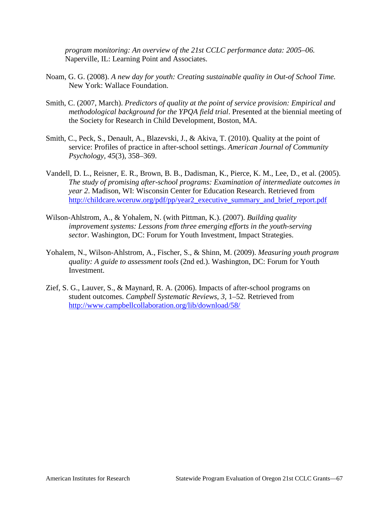*program monitoring: An overview of the 21st CCLC performance data: 2005–06.* Naperville, IL: Learning Point and Associates.

- Noam, G. G. (2008). *A new day for youth: Creating sustainable quality in Out-of School Time.*  New York: Wallace Foundation.
- Smith, C. (2007, March). *Predictors of quality at the point of service provision: Empirical and methodological background for the YPQA field trial*. Presented at the biennial meeting of the Society for Research in Child Development, Boston, MA.
- Smith, C., Peck, S., Denault, A., Blazevski, J., & Akiva, T. (2010). Quality at the point of service: Profiles of practice in after-school settings. *American Journal of Community Psychology, 45*(3), 358–369.
- Vandell, D. L., Reisner, E. R., Brown, B. B., Dadisman, K., Pierce, K. M., Lee, D., et al. (2005). *The study of promising after-school programs: Examination of intermediate outcomes in year 2*. Madison, WI: Wisconsin Center for Education Research. Retrieved from [http://childcare.wceruw.org/pdf/pp/year2\\_executive\\_summary\\_and\\_brief\\_report.pdf](http://childcare.wceruw.org/pdf/pp/year2_executive_summary_and_brief_report.pdf)
- Wilson-Ahlstrom, A., & Yohalem, N. (with Pittman, K.). (2007). *Building quality improvement systems: Lessons from three emerging efforts in the youth-serving sector*. Washington, DC: Forum for Youth Investment, Impact Strategies.
- Yohalem, N., Wilson-Ahlstrom, A., Fischer, S., & Shinn, M. (2009). *Measuring youth program quality: A guide to assessment tools* (2nd ed.). Washington, DC: Forum for Youth **Investment**
- Zief, S. G., Lauver, S., & Maynard, R. A. (2006). Impacts of after-school programs on student outcomes. *Campbell Systematic Reviews, 3,* 1–52. Retrieved from <http://www.campbellcollaboration.org/lib/download/58/>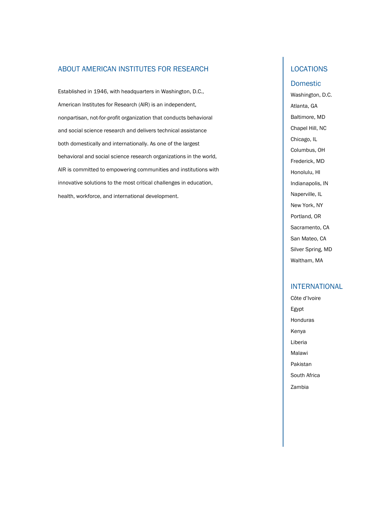#### ABOUT AMERICAN INSTITUTES FOR RESEARCH

Established in 1946, with headquarters in Washington, D.C., American Institutes for Research (AIR) is an independent, nonpartisan, not-for-profit organization that conducts behavioral and social science research and delivers technical assistance both domestically and internationally. As one of the largest behavioral and social science research organizations in the world, AIR is committed to empowering communities and institutions with innovative solutions to the most critical challenges in education, health, workforce, and international development.

### LOCATIONS

#### Domestic

Washington, D.C. Atlanta, GA Baltimore, MD Chapel Hill, NC Chicago, IL Columbus, OH Frederick, MD Honolulu, HI Indianapolis, IN Naperville, IL New York, NY Portland, OR Sacramento, CA San Mateo, CA Silver Spring, MD Waltham, MA

#### INTERNATIONAL

Côte d'Ivoire Egypt Honduras Kenya Liberia Malawi Pakistan South Africa Zambia